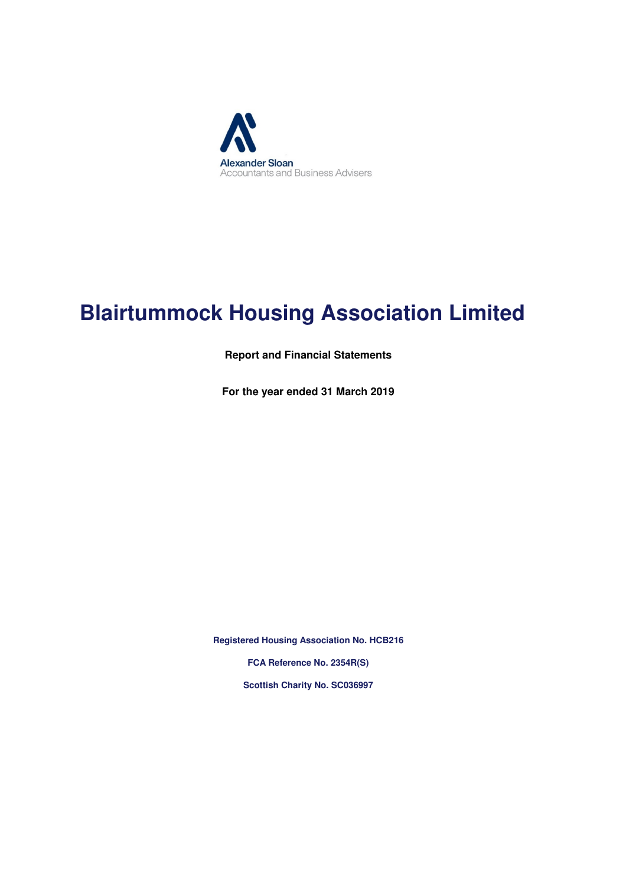

# **Blairtummock Housing Association Limited**

**Report and Financial Statements**

**For the year ended 31 March 2019**

**Registered Housing Association No. HCB216 FCA Reference No. 2354R(S) Scottish Charity No. SC036997**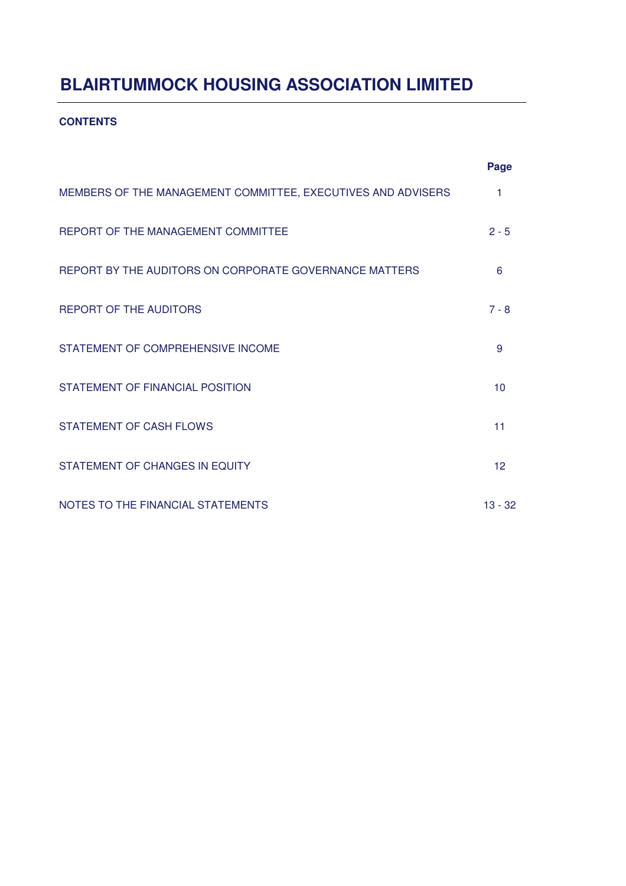## **CONTENTS**

|                                                              | Page      |
|--------------------------------------------------------------|-----------|
| MEMBERS OF THE MANAGEMENT COMMITTEE, EXECUTIVES AND ADVISERS | 1         |
| REPORT OF THE MANAGEMENT COMMITTEE                           | $2 - 5$   |
| REPORT BY THE AUDITORS ON CORPORATE GOVERNANCE MATTERS       | 6         |
| <b>REPORT OF THE AUDITORS</b>                                | $7 - 8$   |
| STATEMENT OF COMPREHENSIVE INCOME                            | 9         |
| STATEMENT OF FINANCIAL POSITION                              | 10        |
| <b>STATEMENT OF CASH FLOWS</b>                               | 11        |
| STATEMENT OF CHANGES IN EQUITY                               | 12        |
| NOTES TO THE FINANCIAL STATEMENTS                            | $13 - 32$ |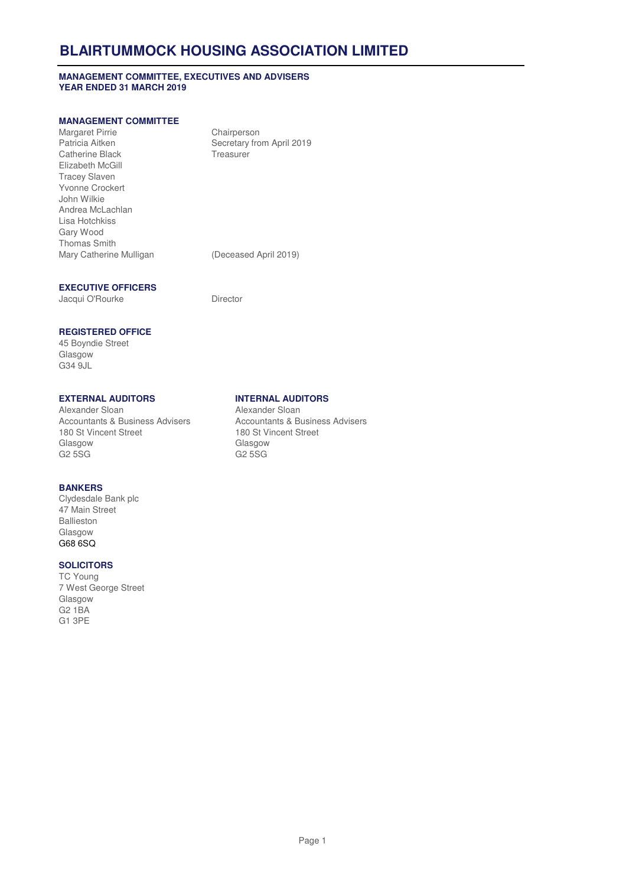## **MANAGEMENT COMMITTEE, EXECUTIVES AND ADVISERS YEAR ENDED 31 MARCH 2019**

### **MANAGEMENT COMMITTEE**

Margaret Pirrie **Chairperson**<br>Patricia Aitken **Chairperson**<br>Secretary from Catherine Black Elizabeth McGill Tracey Slaven Yvonne Crockert John Wilkie Andrea McLachlan Lisa Hotchkiss Gary Wood Thomas Smith Mary Catherine Mulligan (Deceased April 2019)

Secretary from April 2019<br>Treasurer

## **EXECUTIVE OFFICERS**

Jacqui O'Rourke Director

## **REGISTERED OFFICE**

45 Boyndie Street Glasgow G34 9JL

### **EXTERNAL AUDITORS INTERNAL AUDITORS**

Alexander Sloan<br>Accountants & Business Advisers<br>Accountants & Business Advisers<br>Accountants & Bi 180 St Vincent Street<br>Glasgow Glasgow Gasgow Glasgow Glasgow<br>G2 5SG G2 5SG

#### **BANKERS**

Clydesdale Bank plc 47 Main Street Ballieston Glasgow G68 6SQ

#### **SOLICITORS**

TC Young 7 West George Street Glasgow G2 1BA G1 3PE

Accountants & Business Advisers<br>180 St Vincent Street G2 5SG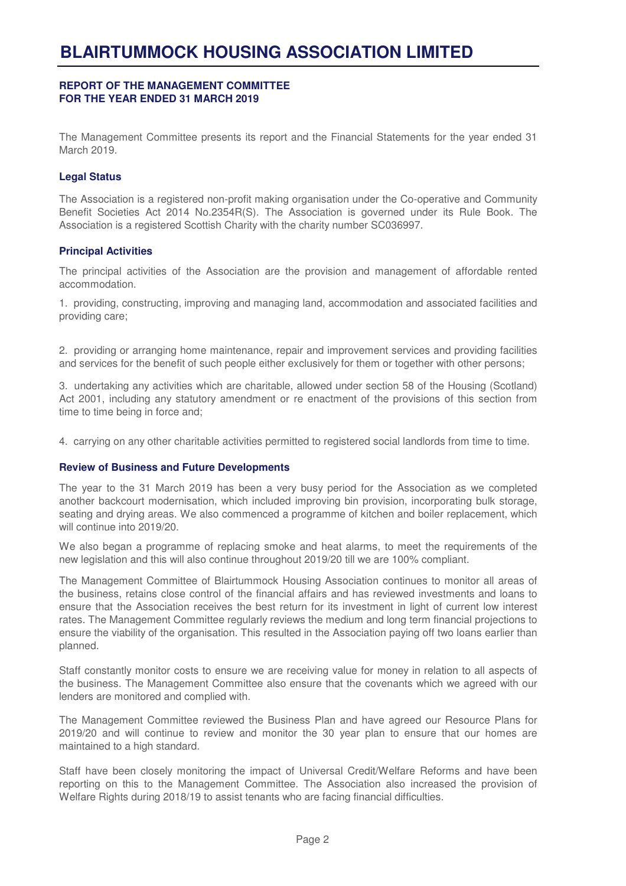## **REPORT OF THE MANAGEMENT COMMITTEE FOR THE YEAR ENDED 31 MARCH 2019**

The Management Committee presents its report and the Financial Statements for the year ended 31 March 2019.

## **Legal Status**

The Association is a registered non-profit making organisation under the Co-operative and Community Benefit Societies Act 2014 No.2354R(S). The Association is governed under its Rule Book. The Association is a registered Scottish Charity with the charity number SC036997.

## **Principal Activities**

The principal activities of the Association are the provision and management of affordable rented accommodation.

1. providing, constructing, improving and managing land, accommodation and associated facilities and providing care;

2. providing or arranging home maintenance, repair and improvement services and providing facilities and services for the benefit of such people either exclusively for them or together with other persons;

3. undertaking any activities which are charitable, allowed under section 58 of the Housing (Scotland) Act 2001, including any statutory amendment or re enactment of the provisions of this section from time to time being in force and;

4. carrying on any other charitable activities permitted to registered social landlords from time to time.

## **Review of Business and Future Developments**

The year to the 31 March 2019 has been a very busy period for the Association as we completed another backcourt modernisation, which included improving bin provision, incorporating bulk storage, seating and drying areas. We also commenced a programme of kitchen and boiler replacement, which will continue into 2019/20.

We also began a programme of replacing smoke and heat alarms, to meet the requirements of the new legislation and this will also continue throughout 2019/20 till we are 100% compliant.

The Management Committee of Blairtummock Housing Association continues to monitor all areas of the business, retains close control of the financial affairs and has reviewed investments and loans to ensure that the Association receives the best return for its investment in light of current low interest rates. The Management Committee regularly reviews the medium and long term financial projections to ensure the viability of the organisation. This resulted in the Association paying off two loans earlier than planned.

Staff constantly monitor costs to ensure we are receiving value for money in relation to all aspects of the business. The Management Committee also ensure that the covenants which we agreed with our lenders are monitored and complied with.

The Management Committee reviewed the Business Plan and have agreed our Resource Plans for 2019/20 and will continue to review and monitor the 30 year plan to ensure that our homes are maintained to a high standard.

Staff have been closely monitoring the impact of Universal Credit/Welfare Reforms and have been reporting on this to the Management Committee. The Association also increased the provision of Welfare Rights during 2018/19 to assist tenants who are facing financial difficulties.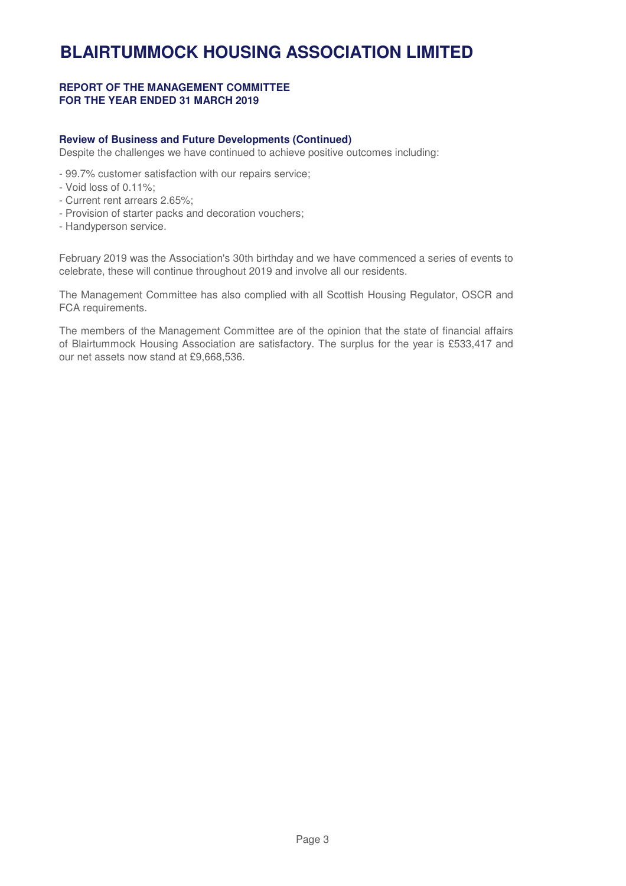## **REPORT OF THE MANAGEMENT COMMITTEE FOR THE YEAR ENDED 31 MARCH 2019**

## **Review of Business and Future Developments (Continued)**

Despite the challenges we have continued to achieve positive outcomes including:

- 99.7% customer satisfaction with our repairs service;
- Void loss of 0.11%;
- Current rent arrears 2.65%;
- Provision of starter packs and decoration vouchers;
- Handyperson service.

February 2019 was the Association's 30th birthday and we have commenced a series of events to celebrate, these will continue throughout 2019 and involve all our residents.

The Management Committee has also complied with all Scottish Housing Regulator, OSCR and FCA requirements.

The members of the Management Committee are of the opinion that the state of financial affairs of Blairtummock Housing Association are satisfactory. The surplus for the year is £533,417 and our net assets now stand at £9,668,536.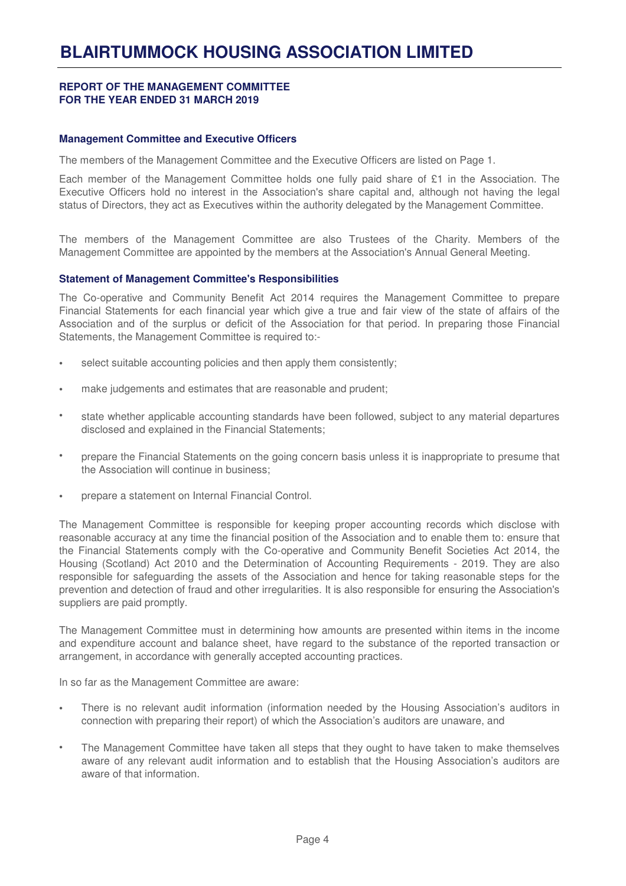## **REPORT OF THE MANAGEMENT COMMITTEE FOR THE YEAR ENDED 31 MARCH 2019**

## **Management Committee and Executive Officers**

The members of the Management Committee and the Executive Officers are listed on Page 1.

Each member of the Management Committee holds one fully paid share of £1 in the Association. The Executive Officers hold no interest in the Association's share capital and, although not having the legal status of Directors, they act as Executives within the authority delegated by the Management Committee.

The members of the Management Committee are also Trustees of the Charity. Members of the Management Committee are appointed by the members at the Association's Annual General Meeting.

## **Statement of Management Committee's Responsibilities**

The Co-operative and Community Benefit Act 2014 requires the Management Committee to prepare Financial Statements for each financial year which give a true and fair view of the state of affairs of the Association and of the surplus or deficit of the Association for that period. In preparing those Financial Statements, the Management Committee is required to:-

- select suitable accounting policies and then apply them consistently;
- make judgements and estimates that are reasonable and prudent;
- state whether applicable accounting standards have been followed, subject to any material departures disclosed and explained in the Financial Statements;
- prepare the Financial Statements on the going concern basis unless it is inappropriate to presume that the Association will continue in business;
- prepare a statement on Internal Financial Control.

The Management Committee is responsible for keeping proper accounting records which disclose with reasonable accuracy at any time the financial position of the Association and to enable them to: ensure that the Financial Statements comply with the Co-operative and Community Benefit Societies Act 2014, the Housing (Scotland) Act 2010 and the Determination of Accounting Requirements - 2019. They are also responsible for safeguarding the assets of the Association and hence for taking reasonable steps for the prevention and detection of fraud and other irregularities. It is also responsible for ensuring the Association's suppliers are paid promptly.

The Management Committee must in determining how amounts are presented within items in the income and expenditure account and balance sheet, have regard to the substance of the reported transaction or arrangement, in accordance with generally accepted accounting practices.

In so far as the Management Committee are aware:

- There is no relevant audit information (information needed by the Housing Association's auditors in connection with preparing their report) of which the Association's auditors are unaware, and
- The Management Committee have taken all steps that they ought to have taken to make themselves aware of any relevant audit information and to establish that the Housing Association's auditors are aware of that information.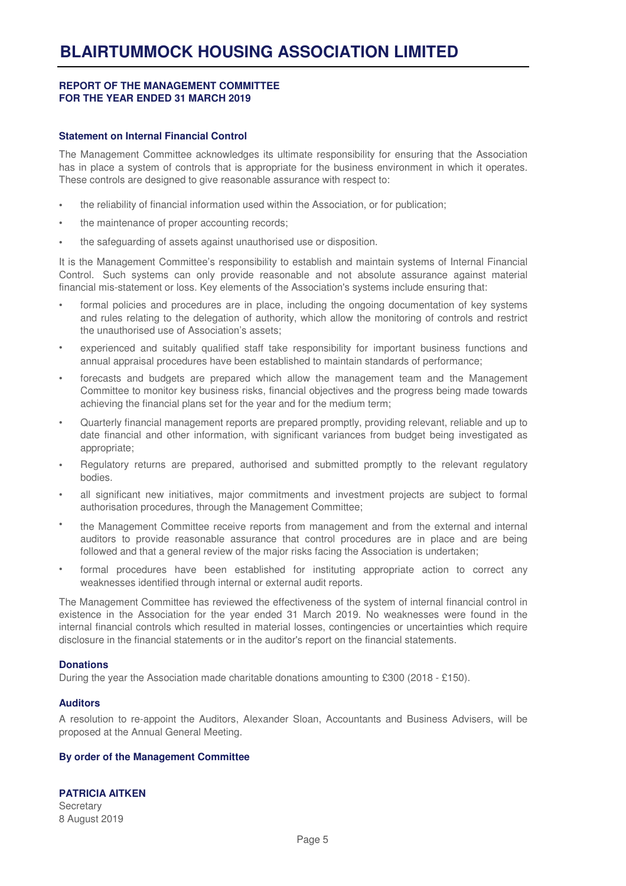## **REPORT OF THE MANAGEMENT COMMITTEE FOR THE YEAR ENDED 31 MARCH 2019**

## **Statement on Internal Financial Control**

The Management Committee acknowledges its ultimate responsibility for ensuring that the Association has in place a system of controls that is appropriate for the business environment in which it operates. These controls are designed to give reasonable assurance with respect to:

- the reliability of financial information used within the Association, or for publication;
- the maintenance of proper accounting records;
- the safeguarding of assets against unauthorised use or disposition.

It is the Management Committee's responsibility to establish and maintain systems of Internal Financial Control. Such systems can only provide reasonable and not absolute assurance against material financial mis-statement or loss. Key elements of the Association's systems include ensuring that:

- formal policies and procedures are in place, including the ongoing documentation of key systems and rules relating to the delegation of authority, which allow the monitoring of controls and restrict the unauthorised use of Association's assets;
- experienced and suitably qualified staff take responsibility for important business functions and annual appraisal procedures have been established to maintain standards of performance;
- forecasts and budgets are prepared which allow the management team and the Management Committee to monitor key business risks, financial objectives and the progress being made towards achieving the financial plans set for the year and for the medium term;
- Quarterly financial management reports are prepared promptly, providing relevant, reliable and up to date financial and other information, with significant variances from budget being investigated as appropriate;
- Regulatory returns are prepared, authorised and submitted promptly to the relevant regulatory bodies.
- all significant new initiatives, major commitments and investment projects are subject to formal authorisation procedures, through the Management Committee;
- the Management Committee receive reports from management and from the external and internal auditors to provide reasonable assurance that control procedures are in place and are being followed and that a general review of the major risks facing the Association is undertaken;
- formal procedures have been established for instituting appropriate action to correct any weaknesses identified through internal or external audit reports.

The Management Committee has reviewed the effectiveness of the system of internal financial control in existence in the Association for the year ended 31 March 2019. No weaknesses were found in the internal financial controls which resulted in material losses, contingencies or uncertainties which require disclosure in the financial statements or in the auditor's report on the financial statements.

## **Donations**

During the year the Association made charitable donations amounting to £300 (2018 - £150).

## **Auditors**

A resolution to re-appoint the Auditors, Alexander Sloan, Accountants and Business Advisers, will be proposed at the Annual General Meeting.

## **By order of the Management Committee**

**Secretary** 8 August 2019 **PATRICIA AITKEN**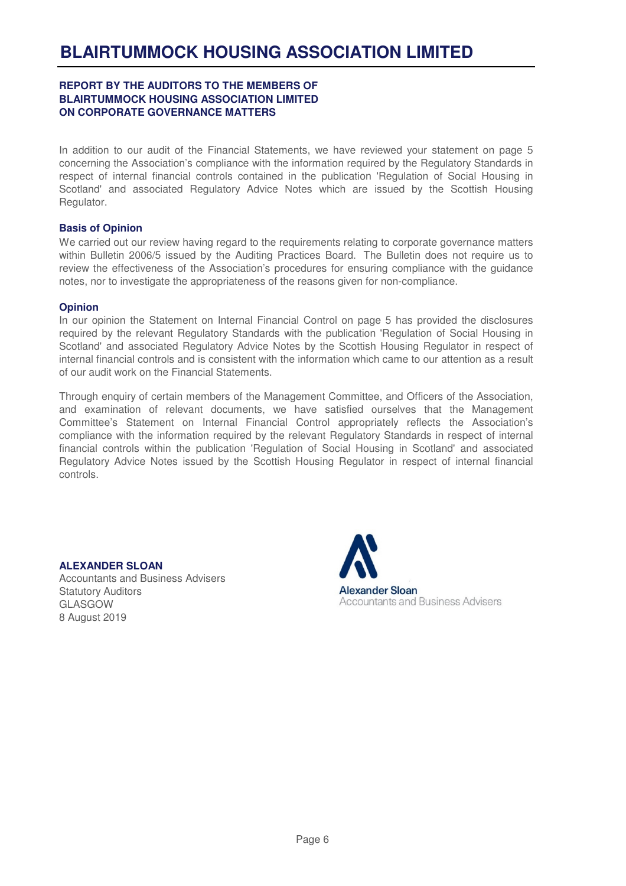## **REPORT BY THE AUDITORS TO THE MEMBERS OF BLAIRTUMMOCK HOUSING ASSOCIATION LIMITED ON CORPORATE GOVERNANCE MATTERS**

In addition to our audit of the Financial Statements, we have reviewed your statement on page 5 concerning the Association's compliance with the information required by the Regulatory Standards in respect of internal financial controls contained in the publication 'Regulation of Social Housing in Scotland' and associated Regulatory Advice Notes which are issued by the Scottish Housing Regulator.

## **Basis of Opinion**

We carried out our review having regard to the requirements relating to corporate governance matters within Bulletin 2006/5 issued by the Auditing Practices Board. The Bulletin does not require us to review the effectiveness of the Association's procedures for ensuring compliance with the guidance notes, nor to investigate the appropriateness of the reasons given for non-compliance.

## **Opinion**

In our opinion the Statement on Internal Financial Control on page 5 has provided the disclosures required by the relevant Regulatory Standards with the publication 'Regulation of Social Housing in Scotland' and associated Regulatory Advice Notes by the Scottish Housing Regulator in respect of internal financial controls and is consistent with the information which came to our attention as a result of our audit work on the Financial Statements.

Through enquiry of certain members of the Management Committee, and Officers of the Association, and examination of relevant documents, we have satisfied ourselves that the Management Committee's Statement on Internal Financial Control appropriately reflects the Association's compliance with the information required by the relevant Regulatory Standards in respect of internal financial controls within the publication 'Regulation of Social Housing in Scotland' and associated Regulatory Advice Notes issued by the Scottish Housing Regulator in respect of internal financial controls.

## **ALEXANDER SLOAN**

Accountants and Business Advisers Statutory Auditors GLASGOW 8 August 2019

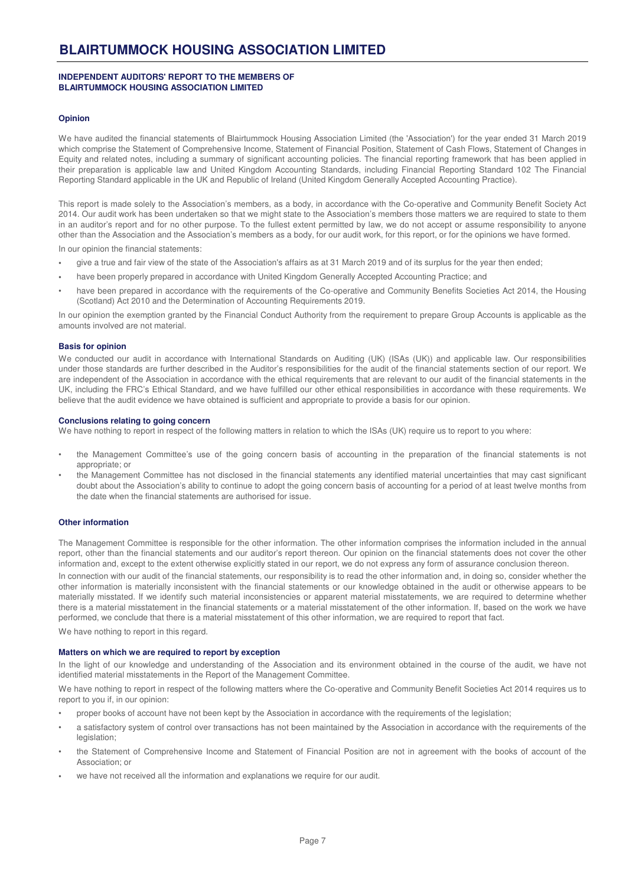#### **INDEPENDENT AUDITORS' REPORT TO THE MEMBERS OF BLAIRTUMMOCK HOUSING ASSOCIATION LIMITED**

#### **Opinion**

We have audited the financial statements of Blairtummock Housing Association Limited (the 'Association') for the year ended 31 March 2019 which comprise the Statement of Comprehensive Income, Statement of Financial Position, Statement of Cash Flows, Statement of Changes in Equity and related notes, including a summary of significant accounting policies. The financial reporting framework that has been applied in their preparation is applicable law and United Kingdom Accounting Standards, including Financial Reporting Standard 102 The Financial Reporting Standard applicable in the UK and Republic of Ireland (United Kingdom Generally Accepted Accounting Practice).

This report is made solely to the Association's members, as a body, in accordance with the Co-operative and Community Benefit Society Act 2014. Our audit work has been undertaken so that we might state to the Association's members those matters we are required to state to them in an auditor's report and for no other purpose. To the fullest extent permitted by law, we do not accept or assume responsibility to anyone other than the Association and the Association's members as a body, for our audit work, for this report, or for the opinions we have formed.

In our opinion the financial statements:

- give a true and fair view of the state of the Association's affairs as at 31 March 2019 and of its surplus for the year then ended;
- have been properly prepared in accordance with United Kingdom Generally Accepted Accounting Practice; and
- have been prepared in accordance with the requirements of the Co-operative and Community Benefits Societies Act 2014, the Housing (Scotland) Act 2010 and the Determination of Accounting Requirements 2019.

In our opinion the exemption granted by the Financial Conduct Authority from the requirement to prepare Group Accounts is applicable as the amounts involved are not material.

#### **Basis for opinion**

We conducted our audit in accordance with International Standards on Auditing (UK) (ISAs (UK)) and applicable law. Our responsibilities under those standards are further described in the Auditor's responsibilities for the audit of the financial statements section of our report. We are independent of the Association in accordance with the ethical requirements that are relevant to our audit of the financial statements in the UK, including the FRC's Ethical Standard, and we have fulfilled our other ethical responsibilities in accordance with these requirements. We believe that the audit evidence we have obtained is sufficient and appropriate to provide a basis for our opinion.

#### **Conclusions relating to going concern**

We have nothing to report in respect of the following matters in relation to which the ISAs (UK) require us to report to you where:

- the Management Committee's use of the going concern basis of accounting in the preparation of the financial statements is not appropriate; or
- the Management Committee has not disclosed in the financial statements any identified material uncertainties that may cast significant doubt about the Association's ability to continue to adopt the going concern basis of accounting for a period of at least twelve months from the date when the financial statements are authorised for issue.

#### **Other information**

The Management Committee is responsible for the other information. The other information comprises the information included in the annual report, other than the financial statements and our auditor's report thereon. Our opinion on the financial statements does not cover the other information and, except to the extent otherwise explicitly stated in our report, we do not express any form of assurance conclusion thereon.

In connection with our audit of the financial statements, our responsibility is to read the other information and, in doing so, consider whether the other information is materially inconsistent with the financial statements or our knowledge obtained in the audit or otherwise appears to be materially misstated. If we identify such material inconsistencies or apparent material misstatements, we are required to determine whether there is a material misstatement in the financial statements or a material misstatement of the other information. If, based on the work we have performed, we conclude that there is a material misstatement of this other information, we are required to report that fact.

We have nothing to report in this regard.

#### **Matters on which we are required to report by exception**

In the light of our knowledge and understanding of the Association and its environment obtained in the course of the audit, we have not identified material misstatements in the Report of the Management Committee.

We have nothing to report in respect of the following matters where the Co-operative and Community Benefit Societies Act 2014 requires us to report to you if, in our opinion:

- proper books of account have not been kept by the Association in accordance with the requirements of the legislation;
- a satisfactory system of control over transactions has not been maintained by the Association in accordance with the requirements of the legislation:
- the Statement of Comprehensive Income and Statement of Financial Position are not in agreement with the books of account of the Association; or
- we have not received all the information and explanations we require for our audit.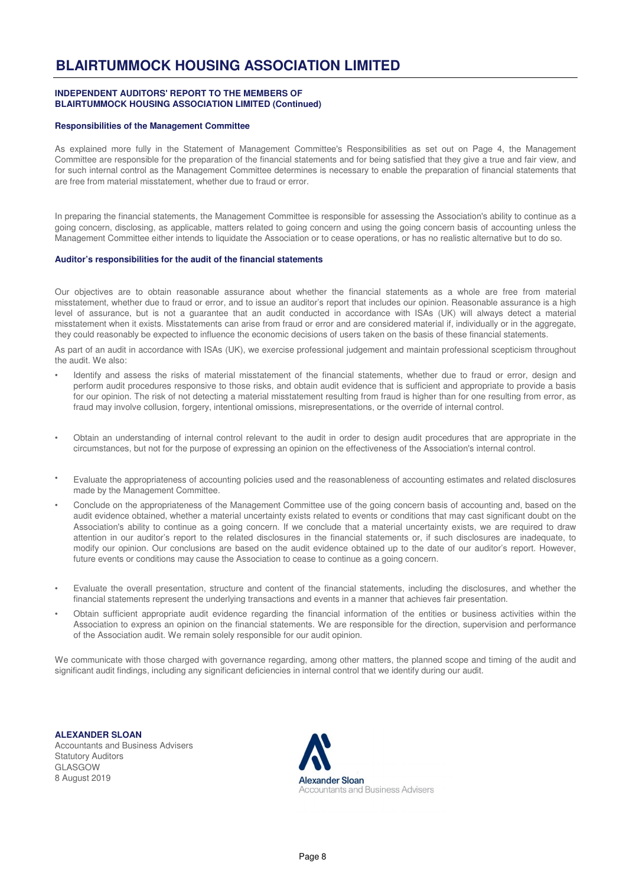#### **INDEPENDENT AUDITORS' REPORT TO THE MEMBERS OF BLAIRTUMMOCK HOUSING ASSOCIATION LIMITED (Continued)**

#### **Responsibilities of the Management Committee**

As explained more fully in the Statement of Management Committee's Responsibilities as set out on Page 4, the Management Committee are responsible for the preparation of the financial statements and for being satisfied that they give a true and fair view, and for such internal control as the Management Committee determines is necessary to enable the preparation of financial statements that are free from material misstatement, whether due to fraud or error.

In preparing the financial statements, the Management Committee is responsible for assessing the Association's ability to continue as a going concern, disclosing, as applicable, matters related to going concern and using the going concern basis of accounting unless the Management Committee either intends to liquidate the Association or to cease operations, or has no realistic alternative but to do so.

#### **Auditor's responsibilities for the audit of the financial statements**

Our objectives are to obtain reasonable assurance about whether the financial statements as a whole are free from material misstatement, whether due to fraud or error, and to issue an auditor's report that includes our opinion. Reasonable assurance is a high level of assurance, but is not a guarantee that an audit conducted in accordance with ISAs (UK) will always detect a material misstatement when it exists. Misstatements can arise from fraud or error and are considered material if, individually or in the aggregate, they could reasonably be expected to influence the economic decisions of users taken on the basis of these financial statements.

As part of an audit in accordance with ISAs (UK), we exercise professional judgement and maintain professional scepticism throughout the audit. We also:

- Identify and assess the risks of material misstatement of the financial statements, whether due to fraud or error, design and perform audit procedures responsive to those risks, and obtain audit evidence that is sufficient and appropriate to provide a basis for our opinion. The risk of not detecting a material misstatement resulting from fraud is higher than for one resulting from error, as fraud may involve collusion, forgery, intentional omissions, misrepresentations, or the override of internal control.
- Obtain an understanding of internal control relevant to the audit in order to design audit procedures that are appropriate in the circumstances, but not for the purpose of expressing an opinion on the effectiveness of the Association's internal control.
- Evaluate the appropriateness of accounting policies used and the reasonableness of accounting estimates and related disclosures made by the Management Committee.
- Conclude on the appropriateness of the Management Committee use of the going concern basis of accounting and, based on the audit evidence obtained, whether a material uncertainty exists related to events or conditions that may cast significant doubt on the Association's ability to continue as a going concern. If we conclude that a material uncertainty exists, we are required to draw attention in our auditor's report to the related disclosures in the financial statements or, if such disclosures are inadequate, to modify our opinion. Our conclusions are based on the audit evidence obtained up to the date of our auditor's report. However, future events or conditions may cause the Association to cease to continue as a going concern.
- Evaluate the overall presentation, structure and content of the financial statements, including the disclosures, and whether the financial statements represent the underlying transactions and events in a manner that achieves fair presentation.
- Obtain sufficient appropriate audit evidence regarding the financial information of the entities or business activities within the Association to express an opinion on the financial statements. We are responsible for the direction, supervision and performance of the Association audit. We remain solely responsible for our audit opinion.

We communicate with those charged with governance regarding, among other matters, the planned scope and timing of the audit and significant audit findings, including any significant deficiencies in internal control that we identify during our audit.

**ALEXANDER SLOAN** Accountants and Business Advisers Statutory Auditors GLASGOW 8 August 2019

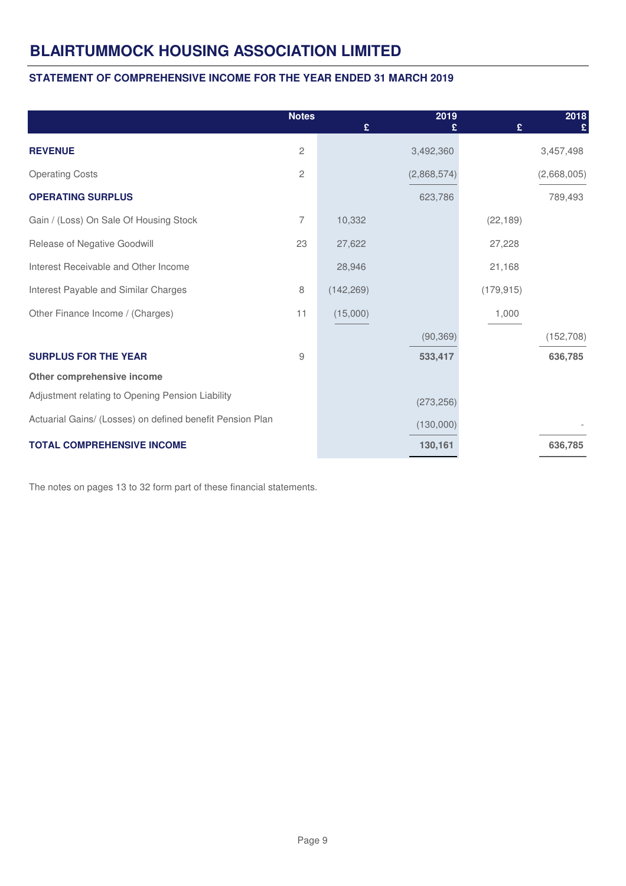## **STATEMENT OF COMPREHENSIVE INCOME FOR THE YEAR ENDED 31 MARCH 2019**

|                                                           | <b>Notes</b> | £          | 2019        | £          | 2018<br>£   |
|-----------------------------------------------------------|--------------|------------|-------------|------------|-------------|
| <b>REVENUE</b>                                            | $\mathbf{2}$ |            | 3,492,360   |            | 3,457,498   |
| <b>Operating Costs</b>                                    | 2            |            | (2,868,574) |            | (2,668,005) |
| <b>OPERATING SURPLUS</b>                                  |              |            | 623,786     |            | 789,493     |
| Gain / (Loss) On Sale Of Housing Stock                    | 7            | 10,332     |             | (22, 189)  |             |
| Release of Negative Goodwill                              | 23           | 27,622     |             | 27,228     |             |
| Interest Receivable and Other Income                      |              | 28,946     |             | 21,168     |             |
| Interest Payable and Similar Charges                      | 8            | (142, 269) |             | (179, 915) |             |
| Other Finance Income / (Charges)                          | 11           | (15,000)   |             | 1,000      |             |
|                                                           |              |            | (90, 369)   |            | (152, 708)  |
| <b>SURPLUS FOR THE YEAR</b>                               | 9            |            | 533,417     |            | 636,785     |
| Other comprehensive income                                |              |            |             |            |             |
| Adjustment relating to Opening Pension Liability          |              |            | (273, 256)  |            |             |
| Actuarial Gains/ (Losses) on defined benefit Pension Plan |              |            | (130,000)   |            |             |
| <b>TOTAL COMPREHENSIVE INCOME</b>                         |              |            | 130,161     |            | 636,785     |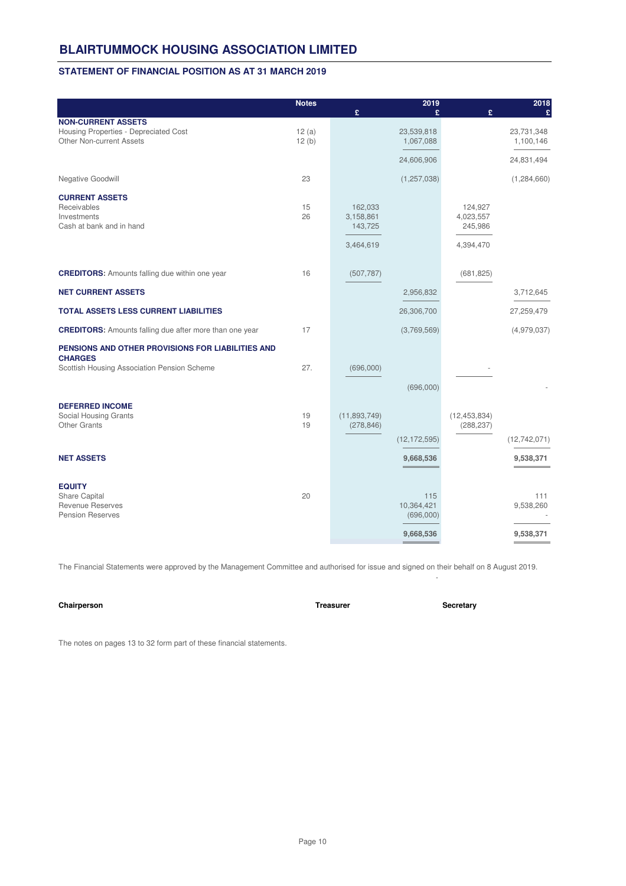## **STATEMENT OF FINANCIAL POSITION AS AT 31 MARCH 2019**

|                                                                                 | <b>Notes</b>   |                                              | 2019                           |                                              | 2018                    |
|---------------------------------------------------------------------------------|----------------|----------------------------------------------|--------------------------------|----------------------------------------------|-------------------------|
| <b>NON-CURRENT ASSETS</b>                                                       |                | £                                            | £                              | £                                            | £                       |
| Housing Properties - Depreciated Cost<br><b>Other Non-current Assets</b>        | 12(a)<br>12(b) |                                              | 23,539,818<br>1,067,088        |                                              | 23,731,348<br>1,100,146 |
|                                                                                 |                |                                              | 24,606,906                     |                                              | 24,831,494              |
| Negative Goodwill                                                               | 23             |                                              | (1, 257, 038)                  |                                              | (1, 284, 660)           |
| <b>CURRENT ASSETS</b><br>Receivables<br>Investments<br>Cash at bank and in hand | 15<br>26       | 162,033<br>3,158,861<br>143,725<br>3,464,619 |                                | 124,927<br>4,023,557<br>245,986<br>4,394,470 |                         |
| <b>CREDITORS:</b> Amounts falling due within one year                           | 16             | (507, 787)                                   |                                | (681, 825)                                   |                         |
| <b>NET CURRENT ASSETS</b>                                                       |                |                                              | 2,956,832                      |                                              | 3,712,645               |
| <b>TOTAL ASSETS LESS CURRENT LIABILITIES</b>                                    |                |                                              | 26,306,700                     |                                              | 27,259,479              |
| <b>CREDITORS:</b> Amounts falling due after more than one year                  | 17             |                                              | (3,769,569)                    |                                              | (4,979,037)             |
| PENSIONS AND OTHER PROVISIONS FOR LIABILITIES AND<br><b>CHARGES</b>             |                |                                              |                                |                                              |                         |
| Scottish Housing Association Pension Scheme                                     | 27.            | (696,000)                                    |                                |                                              |                         |
|                                                                                 |                |                                              | (696,000)                      |                                              |                         |
| <b>DEFERRED INCOME</b><br>Social Housing Grants<br><b>Other Grants</b>          | 19<br>19       | (11, 893, 749)<br>(278, 846)                 | (12, 172, 595)                 | (12, 453, 834)<br>(288, 237)                 | (12, 742, 071)          |
| <b>NET ASSETS</b>                                                               |                |                                              | 9,668,536                      |                                              | 9,538,371               |
| <b>EQUITY</b><br>Share Capital<br>Revenue Reserves<br><b>Pension Reserves</b>   | 20             |                                              | 115<br>10,364,421<br>(696,000) |                                              | 111<br>9,538,260        |
|                                                                                 |                |                                              | 9,668,536                      |                                              | 9,538,371               |

The Financial Statements were approved by the Management Committee and authorised for issue and signed on their behalf on 8 August 2019.

### **Chairperson Secretary Chairperson Secretary**

**Treasurer**

-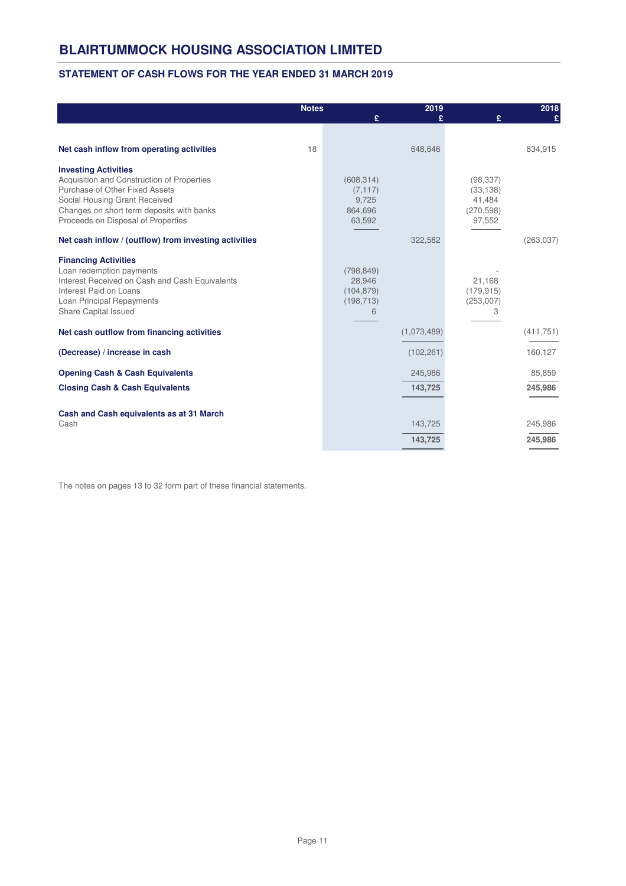## **STATEMENT OF CASH FLOWS FOR THE YEAR ENDED 31 MARCH 2019**

|                                                                                                                                                                                                                                 | <b>Notes</b> |                                                       | 2019        |                                                          | 2018       |
|---------------------------------------------------------------------------------------------------------------------------------------------------------------------------------------------------------------------------------|--------------|-------------------------------------------------------|-------------|----------------------------------------------------------|------------|
|                                                                                                                                                                                                                                 |              | £                                                     | £           | £                                                        |            |
| Net cash inflow from operating activities                                                                                                                                                                                       | 18           |                                                       | 648,646     |                                                          | 834,915    |
| <b>Investing Activities</b><br>Acquisition and Construction of Properties<br>Purchase of Other Fixed Assets<br>Social Housing Grant Received<br>Changes on short term deposits with banks<br>Proceeds on Disposal of Properties |              | (608, 314)<br>(7, 117)<br>9,725<br>864,696<br>63,592  |             | (98, 337)<br>(33, 138)<br>41,484<br>(270, 598)<br>97,552 |            |
| Net cash inflow / (outflow) from investing activities                                                                                                                                                                           |              |                                                       | 322,582     |                                                          | (263, 037) |
| <b>Financing Activities</b><br>Loan redemption payments<br>Interest Received on Cash and Cash Equivalents<br>Interest Paid on Loans<br>Loan Principal Repayments<br><b>Share Capital Issued</b>                                 |              | (798, 849)<br>28,946<br>(104, 879)<br>(198, 713)<br>6 |             | 21,168<br>(179, 915)<br>(253,007)<br>3                   |            |
| Net cash outflow from financing activities                                                                                                                                                                                      |              |                                                       | (1,073,489) |                                                          | (411, 751) |
| (Decrease) / increase in cash                                                                                                                                                                                                   |              |                                                       | (102, 261)  |                                                          | 160,127    |
| <b>Opening Cash &amp; Cash Equivalents</b>                                                                                                                                                                                      |              |                                                       | 245,986     |                                                          | 85,859     |
| <b>Closing Cash &amp; Cash Equivalents</b>                                                                                                                                                                                      |              |                                                       | 143,725     |                                                          | 245,986    |
| Cash and Cash equivalents as at 31 March<br>Cash                                                                                                                                                                                |              |                                                       | 143,725     |                                                          | 245,986    |
|                                                                                                                                                                                                                                 |              |                                                       | 143,725     |                                                          | 245,986    |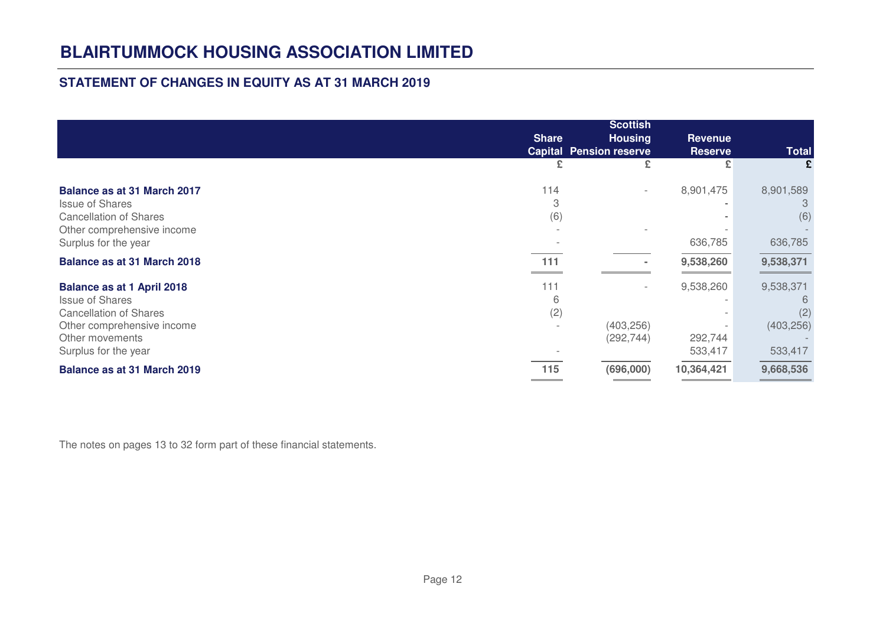## **STATEMENT OF CHANGES IN EQUITY AS AT 31 MARCH 2019**

|                                                                                                                                                                       | <b>Share</b>    | <b>Scottish</b><br><b>Housing</b><br><b>Capital Pension reserve</b> | <b>Revenue</b><br><b>Reserve</b> | <b>Total</b>                                   |
|-----------------------------------------------------------------------------------------------------------------------------------------------------------------------|-----------------|---------------------------------------------------------------------|----------------------------------|------------------------------------------------|
|                                                                                                                                                                       |                 |                                                                     |                                  |                                                |
| Balance as at 31 March 2017<br><b>Issue of Shares</b><br><b>Cancellation of Shares</b><br>Other comprehensive income<br>Surplus for the year                          | 114<br>3<br>(6) |                                                                     | 8,901,475<br>636,785             | 8,901,589<br>З<br>(6)<br>636,785               |
| Balance as at 31 March 2018                                                                                                                                           | 111             |                                                                     | 9,538,260                        | 9,538,371                                      |
| <b>Balance as at 1 April 2018</b><br><b>Issue of Shares</b><br><b>Cancellation of Shares</b><br>Other comprehensive income<br>Other movements<br>Surplus for the year | 111<br>6<br>(2) | $\overline{\phantom{a}}$<br>(403, 256)<br>(292, 744)                | 9,538,260<br>292,744<br>533,417  | 9,538,371<br>6<br>(2)<br>(403, 256)<br>533,417 |
| <b>Balance as at 31 March 2019</b>                                                                                                                                    | 115             | (696,000)                                                           | 10,364,421                       | 9,668,536                                      |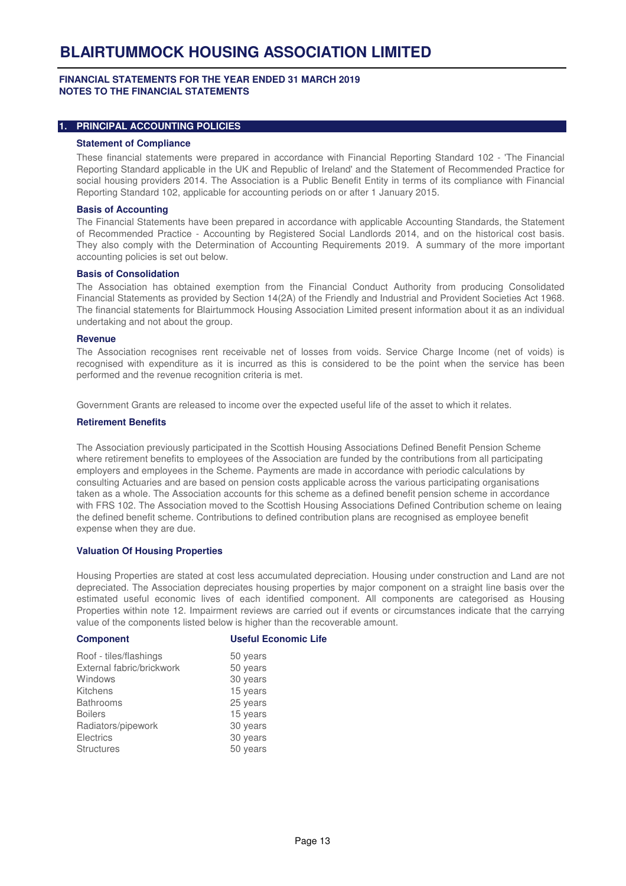## **FINANCIAL STATEMENTS FOR THE YEAR ENDED 31 MARCH 2019 NOTES TO THE FINANCIAL STATEMENTS**

## **1. PRINCIPAL ACCOUNTING POLICIES**

#### **Statement of Compliance**

These financial statements were prepared in accordance with Financial Reporting Standard 102 - 'The Financial Reporting Standard applicable in the UK and Republic of Ireland' and the Statement of Recommended Practice for social housing providers 2014. The Association is a Public Benefit Entity in terms of its compliance with Financial Reporting Standard 102, applicable for accounting periods on or after 1 January 2015.

#### **Basis of Accounting**

The Financial Statements have been prepared in accordance with applicable Accounting Standards, the Statement of Recommended Practice - Accounting by Registered Social Landlords 2014, and on the historical cost basis. They also comply with the Determination of Accounting Requirements 2019. A summary of the more important accounting policies is set out below.

## **Basis of Consolidation**

The Association has obtained exemption from the Financial Conduct Authority from producing Consolidated Financial Statements as provided by Section 14(2A) of the Friendly and Industrial and Provident Societies Act 1968. The financial statements for Blairtummock Housing Association Limited present information about it as an individual undertaking and not about the group.

#### **Revenue**

The Association recognises rent receivable net of losses from voids. Service Charge Income (net of voids) is recognised with expenditure as it is incurred as this is considered to be the point when the service has been performed and the revenue recognition criteria is met.

Government Grants are released to income over the expected useful life of the asset to which it relates.

## **Retirement Benefits**

The Association previously participated in the Scottish Housing Associations Defined Benefit Pension Scheme where retirement benefits to employees of the Association are funded by the contributions from all participating employers and employees in the Scheme. Payments are made in accordance with periodic calculations by consulting Actuaries and are based on pension costs applicable across the various participating organisations taken as a whole. The Association accounts for this scheme as a defined benefit pension scheme in accordance with FRS 102. The Association moved to the Scottish Housing Associations Defined Contribution scheme on leaing the defined benefit scheme. Contributions to defined contribution plans are recognised as employee benefit expense when they are due.

#### **Valuation Of Housing Properties**

Housing Properties are stated at cost less accumulated depreciation. Housing under construction and Land are not depreciated. The Association depreciates housing properties by major component on a straight line basis over the estimated useful economic lives of each identified component. All components are categorised as Housing Properties within note 12. Impairment reviews are carried out if events or circumstances indicate that the carrying value of the components listed below is higher than the recoverable amount.

### **Component Useful Economic Life**

| External fabric/brickwork | 50 years |
|---------------------------|----------|
| Windows                   | 30 years |
| Kitchens                  | 15 years |
| <b>Bathrooms</b>          | 25 years |
| <b>Boilers</b>            | 15 years |
| Radiators/pipework        | 30 years |
| Electrics                 | 30 years |
| <b>Structures</b>         | 50 years |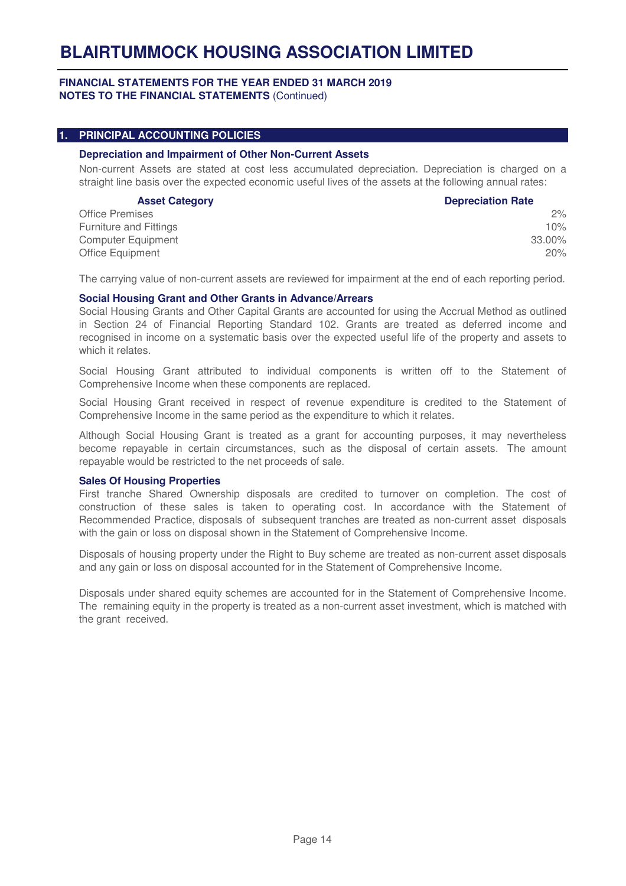## **FINANCIAL STATEMENTS FOR THE YEAR ENDED 31 MARCH 2019 NOTES TO THE FINANCIAL STATEMENTS** (Continued)

## **1. PRINCIPAL ACCOUNTING POLICIES**

## **Depreciation and Impairment of Other Non-Current Assets**

Non-current Assets are stated at cost less accumulated depreciation. Depreciation is charged on a straight line basis over the expected economic useful lives of the assets at the following annual rates:

Office Premises 2% Furniture and Fittings 10% and  $\sim$  10% and  $\sim$  10% and  $\sim$  10% and  $\sim$  10% and  $\sim$  10% and  $\sim$  10% and  $\sim$  10% and  $\sim$  10% and  $\sim$  10% and  $\sim$  10% and  $\sim$  10% and  $\sim$  10% and  $\sim$  10% and  $\sim$  10% and  $\sim$  10% Computer Equipment 33.00%

**Asset Category Depreciation Rate**

Office Equipment 20%

The carrying value of non-current assets are reviewed for impairment at the end of each reporting period.

## **Social Housing Grant and Other Grants in Advance/Arrears**

Social Housing Grants and Other Capital Grants are accounted for using the Accrual Method as outlined in Section 24 of Financial Reporting Standard 102. Grants are treated as deferred income and recognised in income on a systematic basis over the expected useful life of the property and assets to which it relates.

Social Housing Grant attributed to individual components is written off to the Statement of Comprehensive Income when these components are replaced.

Social Housing Grant received in respect of revenue expenditure is credited to the Statement of Comprehensive Income in the same period as the expenditure to which it relates.

Although Social Housing Grant is treated as a grant for accounting purposes, it may nevertheless become repayable in certain circumstances, such as the disposal of certain assets. The amount repayable would be restricted to the net proceeds of sale.

## **Sales Of Housing Properties**

First tranche Shared Ownership disposals are credited to turnover on completion. The cost of construction of these sales is taken to operating cost. In accordance with the Statement of Recommended Practice, disposals of subsequent tranches are treated as non-current asset disposals with the gain or loss on disposal shown in the Statement of Comprehensive Income.

Disposals of housing property under the Right to Buy scheme are treated as non-current asset disposals and any gain or loss on disposal accounted for in the Statement of Comprehensive Income.

Disposals under shared equity schemes are accounted for in the Statement of Comprehensive Income. The remaining equity in the property is treated as a non-current asset investment, which is matched with the grant received.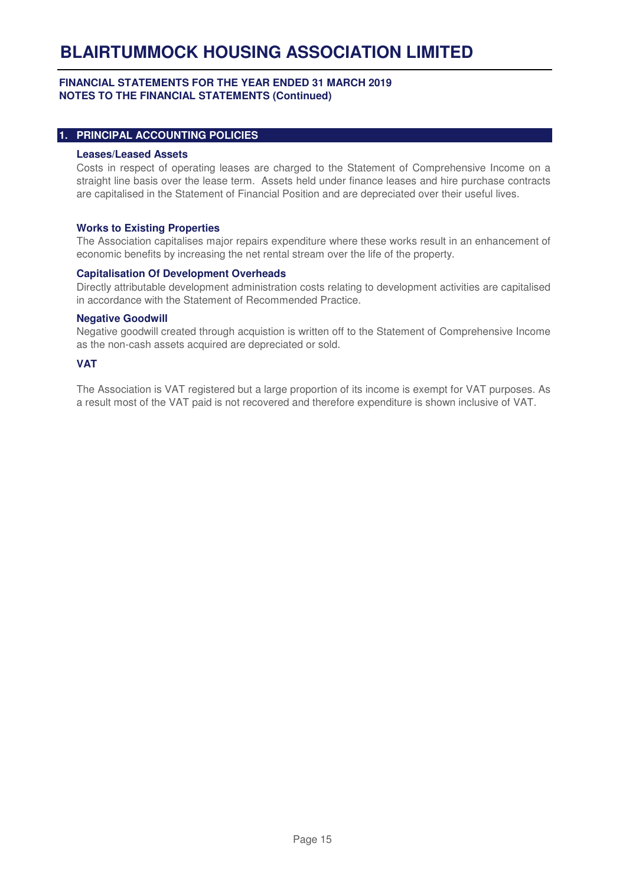## **FINANCIAL STATEMENTS FOR THE YEAR ENDED 31 MARCH 2019 NOTES TO THE FINANCIAL STATEMENTS (Continued)**

## **1. PRINCIPAL ACCOUNTING POLICIES**

## **Leases/Leased Assets**

Costs in respect of operating leases are charged to the Statement of Comprehensive Income on a straight line basis over the lease term. Assets held under finance leases and hire purchase contracts are capitalised in the Statement of Financial Position and are depreciated over their useful lives.

## **Works to Existing Properties**

The Association capitalises major repairs expenditure where these works result in an enhancement of economic benefits by increasing the net rental stream over the life of the property.

## **Capitalisation Of Development Overheads**

Directly attributable development administration costs relating to development activities are capitalised in accordance with the Statement of Recommended Practice.

## **Negative Goodwill**

Negative goodwill created through acquistion is written off to the Statement of Comprehensive Income as the non-cash assets acquired are depreciated or sold.

## **VAT**

The Association is VAT registered but a large proportion of its income is exempt for VAT purposes. As a result most of the VAT paid is not recovered and therefore expenditure is shown inclusive of VAT.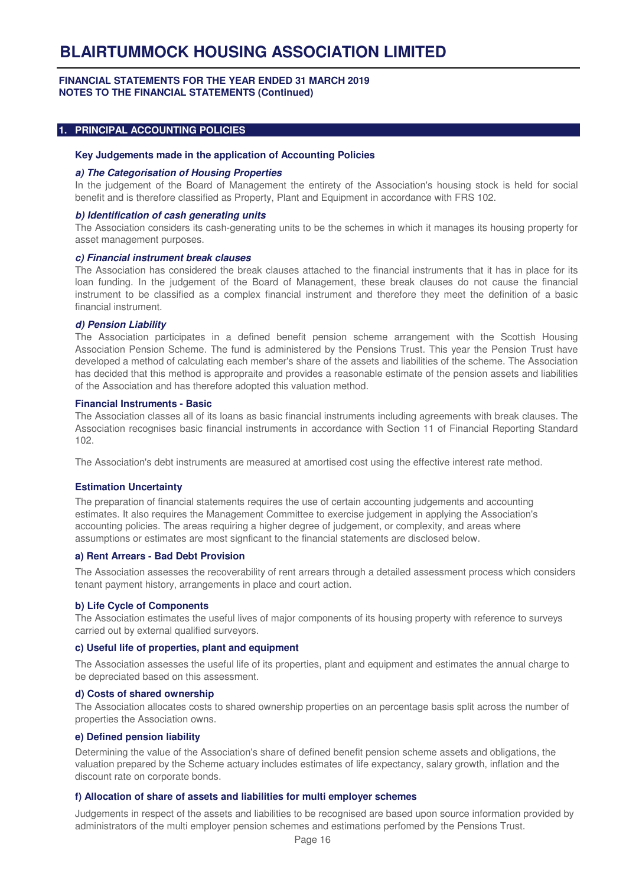## **FINANCIAL STATEMENTS FOR THE YEAR ENDED 31 MARCH 2019 NOTES TO THE FINANCIAL STATEMENTS (Continued)**

## **1. PRINCIPAL ACCOUNTING POLICIES**

## **Key Judgements made in the application of Accounting Policies**

#### **a) The Categorisation of Housing Properties**

In the judgement of the Board of Management the entirety of the Association's housing stock is held for social benefit and is therefore classified as Property, Plant and Equipment in accordance with FRS 102.

## **b) Identification of cash generating units**

The Association considers its cash-generating units to be the schemes in which it manages its housing property for asset management purposes.

## **c) Financial instrument break clauses**

The Association has considered the break clauses attached to the financial instruments that it has in place for its loan funding. In the judgement of the Board of Management, these break clauses do not cause the financial instrument to be classified as a complex financial instrument and therefore they meet the definition of a basic financial instrument.

#### **d) Pension Liability**

The Association participates in a defined benefit pension scheme arrangement with the Scottish Housing Association Pension Scheme. The fund is administered by the Pensions Trust. This year the Pension Trust have developed a method of calculating each member's share of the assets and liabilities of the scheme. The Association has decided that this method is appropraite and provides a reasonable estimate of the pension assets and liabilities of the Association and has therefore adopted this valuation method.

#### **Financial Instruments - Basic**

The Association classes all of its loans as basic financial instruments including agreements with break clauses. The Association recognises basic financial instruments in accordance with Section 11 of Financial Reporting Standard 102.

The Association's debt instruments are measured at amortised cost using the effective interest rate method.

#### **Estimation Uncertainty**

The preparation of financial statements requires the use of certain accounting judgements and accounting estimates. It also requires the Management Committee to exercise judgement in applying the Association's accounting policies. The areas requiring a higher degree of judgement, or complexity, and areas where assumptions or estimates are most signficant to the financial statements are disclosed below.

#### **a) Rent Arrears - Bad Debt Provision**

The Association assesses the recoverability of rent arrears through a detailed assessment process which considers tenant payment history, arrangements in place and court action.

### **b) Life Cycle of Components**

The Association estimates the useful lives of major components of its housing property with reference to surveys carried out by external qualified surveyors.

#### **c) Useful life of properties, plant and equipment**

The Association assesses the useful life of its properties, plant and equipment and estimates the annual charge to be depreciated based on this assessment.

#### **d) Costs of shared ownership**

The Association allocates costs to shared ownership properties on an percentage basis split across the number of properties the Association owns.

### **e) Defined pension liability**

Determining the value of the Association's share of defined benefit pension scheme assets and obligations, the valuation prepared by the Scheme actuary includes estimates of life expectancy, salary growth, inflation and the discount rate on corporate bonds.

#### **f) Allocation of share of assets and liabilities for multi employer schemes**

Judgements in respect of the assets and liabilities to be recognised are based upon source information provided by administrators of the multi employer pension schemes and estimations perfomed by the Pensions Trust.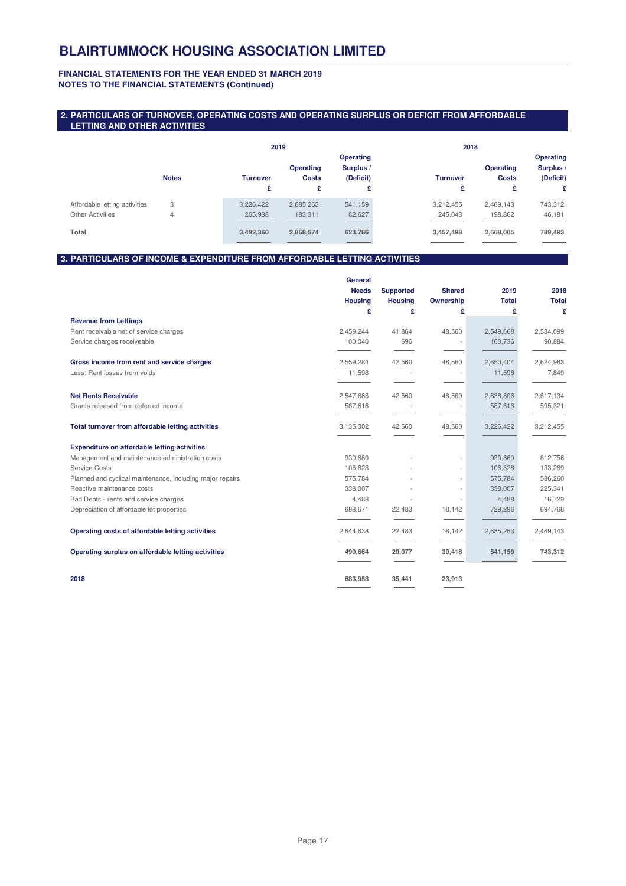### **FINANCIAL STATEMENTS FOR THE YEAR ENDED 31 MARCH 2019 NOTES TO THE FINANCIAL STATEMENTS (Continued)**

### **2. PARTICULARS OF TURNOVER, OPERATING COSTS AND OPERATING SURPLUS OR DEFICIT FROM AFFORDABLE LETTING AND OTHER ACTIVITIES**

|                               |                | 2019                                                                                                                        |                                              |           | 2018            |                  |                  |
|-------------------------------|----------------|-----------------------------------------------------------------------------------------------------------------------------|----------------------------------------------|-----------|-----------------|------------------|------------------|
|                               |                |                                                                                                                             |                                              | Operating |                 |                  | <b>Operating</b> |
|                               |                |                                                                                                                             | Operating                                    | Surplus / |                 | <b>Operating</b> | Surplus /        |
|                               | <b>Notes</b>   | <b>Turnover</b>                                                                                                             | <b>Costs</b>                                 | (Deficit) | <b>Turnover</b> | <b>Costs</b>     | (Deficit)        |
|                               |                | £                                                                                                                           | £                                            | £         | c               | £                | £                |
| Affordable letting activities | 3              | 3,226,422                                                                                                                   | 2,685,263                                    | 541,159   | 3,212,455       | 2,469,143        | 743,312          |
| <b>Other Activities</b>       | $\overline{4}$ | 265,938                                                                                                                     | 183,311                                      | 82,627    | 245,043         | 198,862          | 46,181           |
| Total                         |                | 3,492,360                                                                                                                   | 2,868,574                                    | 623,786   | 3,457,498       | 2,668,005        | 789,493          |
|                               |                | <u> The Common Second Common Second Common Second Common Second Common Second Common Second Common Second Common Second</u> | the control of the control of the control of | _____     |                 |                  |                  |

## **3. PARTICULARS OF INCOME & EXPENDITURE FROM AFFORDABLE LETTING ACTIVITIES**

|                                                           | <b>General</b>                 |                                    |                            |                      |                      |
|-----------------------------------------------------------|--------------------------------|------------------------------------|----------------------------|----------------------|----------------------|
|                                                           | <b>Needs</b><br><b>Housing</b> | <b>Supported</b><br><b>Housing</b> | <b>Shared</b><br>Ownership | 2019<br><b>Total</b> | 2018<br><b>Total</b> |
|                                                           | £                              | £                                  | £                          | £                    | £                    |
| <b>Revenue from Lettings</b>                              |                                |                                    |                            |                      |                      |
| Rent receivable net of service charges                    | 2,459,244                      | 41,864                             | 48,560                     | 2,549,668            | 2,534,099            |
| Service charges receiveable                               | 100,040                        | 696                                |                            | 100,736              | 90,884               |
| Gross income from rent and service charges                | 2,559,284                      | 42,560                             | 48,560                     | 2,650,404            | 2,624,983            |
| Less: Rent losses from voids                              | 11,598                         |                                    |                            | 11,598               | 7,849                |
| <b>Net Rents Receivable</b>                               | 2,547,686                      | 42,560                             | 48,560                     | 2,638,806            | 2,617,134            |
| Grants released from deferred income                      | 587,616                        |                                    |                            | 587,616              | 595,321              |
| Total turnover from affordable letting activities         | 3,135,302                      | 42,560                             | 48,560                     | 3,226,422            | 3,212,455            |
| Expenditure on affordable letting activities              |                                |                                    |                            |                      |                      |
| Management and maintenance administration costs           | 930,860                        |                                    |                            | 930,860              | 812,756              |
| Service Costs                                             | 106,828                        |                                    | ٠                          | 106,828              | 133,289              |
| Planned and cyclical maintenance, including major repairs | 575,784                        |                                    |                            | 575,784              | 586,260              |
| Reactive maintenance costs                                | 338,007                        |                                    |                            | 338,007              | 225,341              |
| Bad Debts - rents and service charges                     | 4,488                          |                                    |                            | 4,488                | 16,729               |
| Depreciation of affordable let properties                 | 688,671                        | 22,483                             | 18,142                     | 729,296              | 694,768              |
| Operating costs of affordable letting activities          | 2,644,638                      | 22,483                             | 18,142                     | 2,685,263            | 2,469,143            |
| Operating surplus on affordable letting activities        | 490,664                        | 20,077                             | 30,418                     | 541,159              | 743,312              |
| 2018                                                      | 683,958                        | 35,441                             | 23,913                     |                      |                      |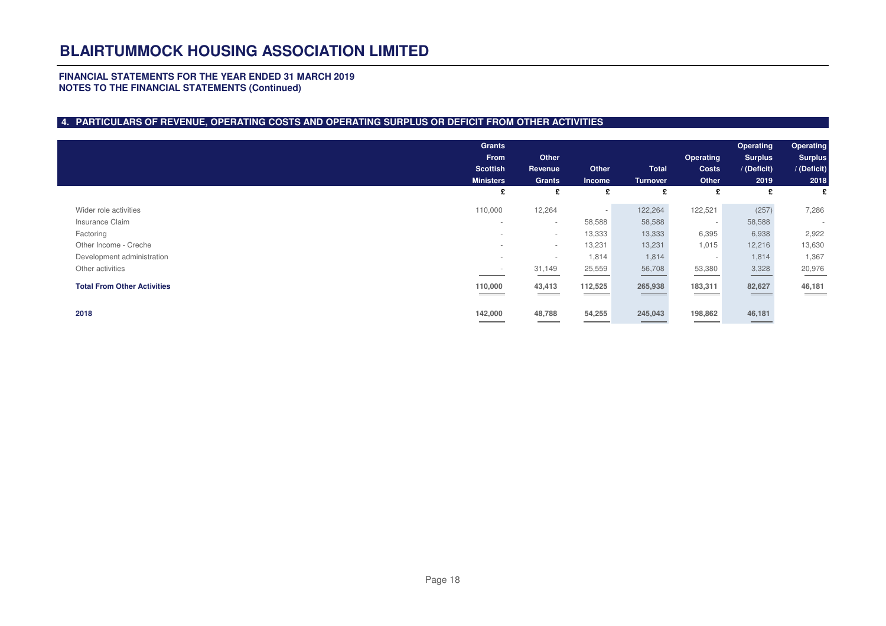## **FINANCIAL STATEMENTS FOR THE YEAR ENDED 31 MARCH 2019NOTES TO THE FINANCIAL STATEMENTS (Continued)**

## **4. PARTICULARS OF REVENUE, OPERATING COSTS AND OPERATING SURPLUS OR DEFICIT FROM OTHER ACTIVITIES**

|                                    | <b>Grants</b><br><b>From</b><br><b>Scottish</b><br><b>Ministers</b> | Other<br>Revenue<br><b>Grants</b>           | Other<br><b>Income</b>                       | Total<br><b>Turnover</b> | <b>Operating</b><br><b>Costs</b><br>Other    | Operating<br><b>Surplus</b><br>/(Deficit)<br>2019 | <b>Operating</b><br><b>Surplus</b><br>/(Deficit)<br>2018 |
|------------------------------------|---------------------------------------------------------------------|---------------------------------------------|----------------------------------------------|--------------------------|----------------------------------------------|---------------------------------------------------|----------------------------------------------------------|
|                                    | £                                                                   | £                                           | £                                            | £                        | £                                            | £                                                 | £                                                        |
| Wider role activities              | 110,000                                                             | 12,264                                      |                                              | 122,264                  | 122,521                                      | (257)                                             | 7,286                                                    |
| Insurance Claim                    | $\sim$                                                              | $\overline{\phantom{a}}$                    | 58,588                                       | 58,588                   | $\overline{\phantom{a}}$                     | 58,588                                            | $\sim$                                                   |
| Factoring                          | $\sim$                                                              | $\sim$                                      | 13,333                                       | 13,333                   | 6,395                                        | 6,938                                             | 2,922                                                    |
| Other Income - Creche              |                                                                     | $\sim$                                      | 13,231                                       | 13,231                   | 1,015                                        | 12,216                                            | 13,630                                                   |
| Development administration         | $\sim$                                                              | $\overline{\phantom{a}}$                    | 1,814                                        | 1,814                    | $\sim$                                       | 1,814                                             | 1,367                                                    |
| Other activities                   |                                                                     | 31,149                                      | 25,559                                       | 56,708                   | 53,380                                       | 3,328<br>___                                      | 20,976                                                   |
| <b>Total From Other Activities</b> | 110,000<br>_____                                                    | 43,413<br>the control of the control of the | 112,525<br><b>Contract Contract Contract</b> | 265,938                  | 183,311<br>the control of the control of the | 82,627<br><b>Contract Contract</b>                | 46,181                                                   |
| 2018                               | 142,000                                                             | 48,788                                      | 54,255                                       | 245,043                  | 198,862                                      | 46,181<br>____                                    |                                                          |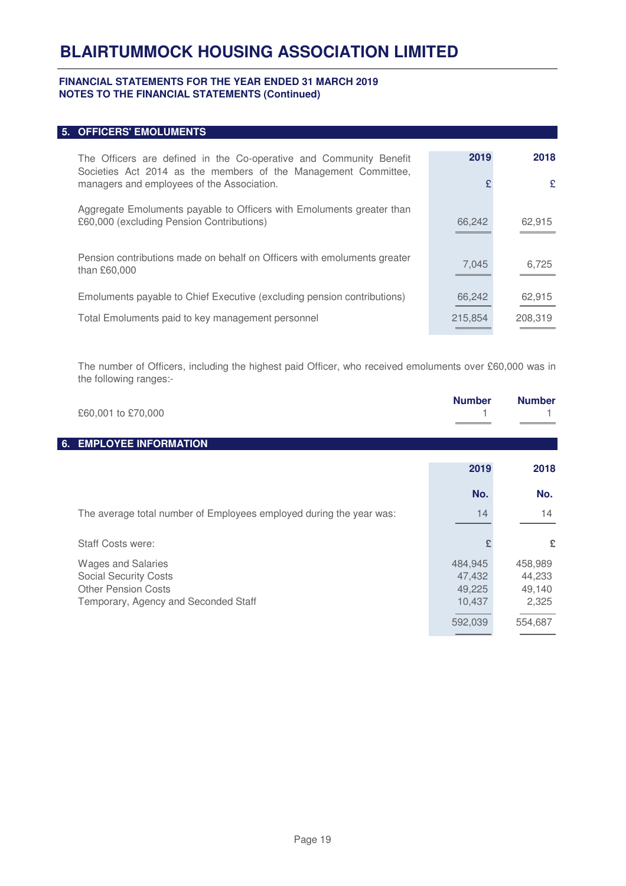## **FINANCIAL STATEMENTS FOR THE YEAR ENDED 31 MARCH 2019 NOTES TO THE FINANCIAL STATEMENTS (Continued)**

## **5. OFFICERS' EMOLUMENTS**

| The Officers are defined in the Co-operative and Community Benefit                                                 | 2019    | 2018    |
|--------------------------------------------------------------------------------------------------------------------|---------|---------|
| Societies Act 2014 as the members of the Management Committee,<br>managers and employees of the Association.       |         | £       |
| Aggregate Emoluments payable to Officers with Emoluments greater than<br>£60,000 (excluding Pension Contributions) | 66,242  | 62,915  |
| Pension contributions made on behalf on Officers with emoluments greater<br>than £60,000                           | 7.045   | 6,725   |
| Emoluments payable to Chief Executive (excluding pension contributions)                                            | 66,242  | 62,915  |
| Total Emoluments paid to key management personnel                                                                  | 215,854 | 208,319 |

The number of Officers, including the highest paid Officer, who received emoluments over £60,000 was in the following ranges:-

|    | £60,001 to £70,000                                                                                                              | <b>Number</b>                                    | <b>Number</b>                                   |
|----|---------------------------------------------------------------------------------------------------------------------------------|--------------------------------------------------|-------------------------------------------------|
| 6. | <b>EMPLOYEE INFORMATION</b>                                                                                                     |                                                  |                                                 |
|    |                                                                                                                                 | 2019                                             | 2018                                            |
|    |                                                                                                                                 | No.                                              | No.                                             |
|    | The average total number of Employees employed during the year was:                                                             | 14                                               | 14                                              |
|    | Staff Costs were:                                                                                                               |                                                  | £                                               |
|    | <b>Wages and Salaries</b><br><b>Social Security Costs</b><br><b>Other Pension Costs</b><br>Temporary, Agency and Seconded Staff | 484,945<br>47,432<br>49,225<br>10,437<br>592,039 | 458,989<br>44,233<br>49,140<br>2,325<br>554,687 |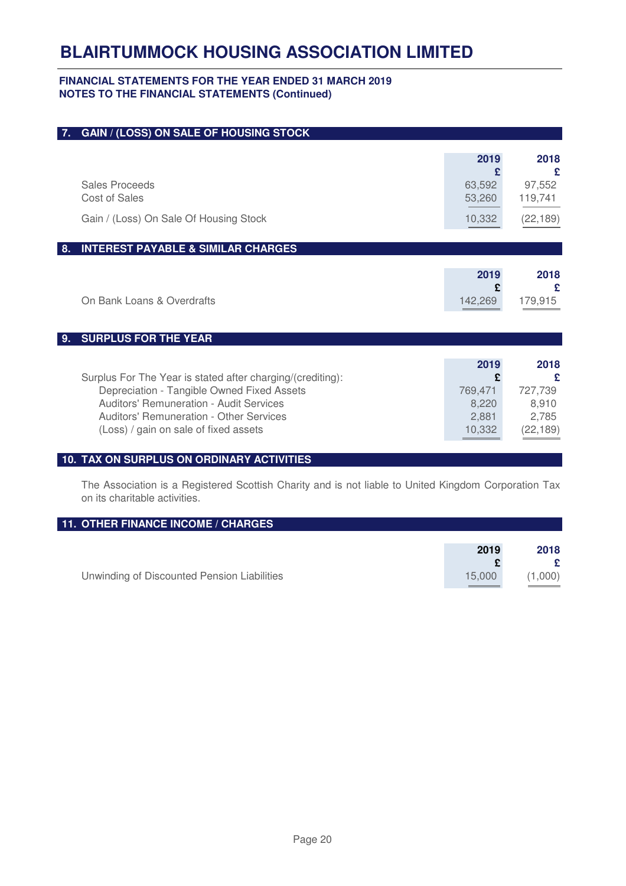## **FINANCIAL STATEMENTS FOR THE YEAR ENDED 31 MARCH 2019 NOTES TO THE FINANCIAL STATEMENTS (Continued)**

| 7. | GAIN / (LOSS) ON SALE OF HOUSING STOCK                                                                                                                                                                                                  |                                                  |                                                    |
|----|-----------------------------------------------------------------------------------------------------------------------------------------------------------------------------------------------------------------------------------------|--------------------------------------------------|----------------------------------------------------|
|    |                                                                                                                                                                                                                                         | 2019<br>£                                        | 2018<br>£                                          |
|    | Sales Proceeds<br>Cost of Sales                                                                                                                                                                                                         | 63,592<br>53,260                                 | 97,552<br>119,741                                  |
|    | Gain / (Loss) On Sale Of Housing Stock                                                                                                                                                                                                  | 10,332                                           | (22,189)                                           |
| 8. | <b>INTEREST PAYABLE &amp; SIMILAR CHARGES</b>                                                                                                                                                                                           |                                                  |                                                    |
|    | On Bank Loans & Overdrafts                                                                                                                                                                                                              | 2019<br>£<br>142,269                             | 2018<br>£<br>179,915                               |
|    |                                                                                                                                                                                                                                         |                                                  |                                                    |
| 9. | <b>SURPLUS FOR THE YEAR</b>                                                                                                                                                                                                             |                                                  |                                                    |
|    | Surplus For The Year is stated after charging/(crediting):<br>Depreciation - Tangible Owned Fixed Assets<br>Auditors' Remuneration - Audit Services<br>Auditors' Remuneration - Other Services<br>(Loss) / gain on sale of fixed assets | 2019<br>£<br>769,471<br>8,220<br>2,881<br>10,332 | 2018<br>£<br>727,739<br>8,910<br>2,785<br>(22,189) |

## **10. TAX ON SURPLUS ON ORDINARY ACTIVITIES**

The Association is a Registered Scottish Charity and is not liable to United Kingdom Corporation Tax on its charitable activities.

| <b>11. OTHER FINANCE INCOME / CHARGES</b>   |        |         |
|---------------------------------------------|--------|---------|
|                                             |        |         |
|                                             | 2019   | 2018    |
|                                             |        |         |
| Unwinding of Discounted Pension Liabilities | 15.000 | (1,000) |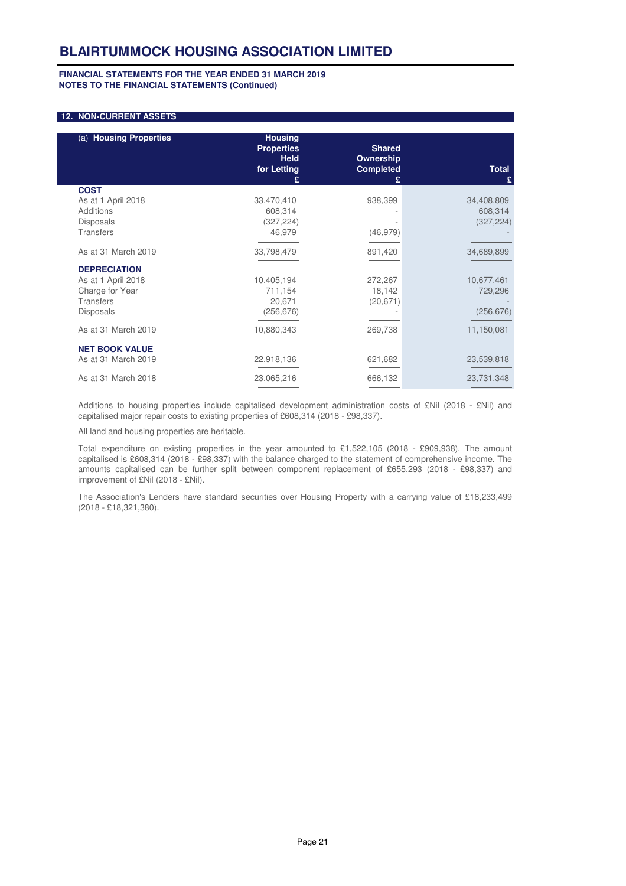### **FINANCIAL STATEMENTS FOR THE YEAR ENDED 31 MARCH 2019 NOTES TO THE FINANCIAL STATEMENTS (Continued)**

### **12. NON-CURRENT ASSETS**

| (a) Housing Properties        | <b>Housing</b><br><b>Properties</b><br><b>Held</b><br>for Letting<br>£ | <b>Shared</b><br>Ownership<br><b>Completed</b><br>£ | <b>Total</b><br>£     |
|-------------------------------|------------------------------------------------------------------------|-----------------------------------------------------|-----------------------|
| <b>COST</b>                   |                                                                        |                                                     |                       |
| As at 1 April 2018            | 33,470,410                                                             | 938,399                                             | 34,408,809            |
| Additions<br><b>Disposals</b> | 608,314<br>(327, 224)                                                  |                                                     | 608,314<br>(327, 224) |
| <b>Transfers</b>              | 46,979                                                                 | (46, 979)                                           |                       |
|                               |                                                                        |                                                     |                       |
| As at 31 March 2019           | 33,798,479                                                             | 891,420                                             | 34,689,899            |
| <b>DEPRECIATION</b>           |                                                                        |                                                     |                       |
| As at 1 April 2018            | 10,405,194                                                             | 272,267                                             | 10,677,461            |
| Charge for Year               | 711,154                                                                | 18,142                                              | 729,296               |
| <b>Transfers</b>              | 20,671                                                                 | (20, 671)                                           |                       |
| Disposals                     | (256, 676)                                                             |                                                     | (256, 676)            |
| As at 31 March 2019           | 10,880,343                                                             | 269,738                                             | 11,150,081            |
| <b>NET BOOK VALUE</b>         |                                                                        |                                                     |                       |
| As at 31 March 2019           | 22,918,136                                                             | 621,682                                             | 23,539,818            |
| As at 31 March 2018           | 23,065,216                                                             | 666,132                                             | 23,731,348            |
|                               |                                                                        |                                                     |                       |

Additions to housing properties include capitalised development administration costs of £Nil (2018 - £Nil) and capitalised major repair costs to existing properties of £608,314 (2018 - £98,337).

All land and housing properties are heritable.

Total expenditure on existing properties in the year amounted to £1,522,105 (2018 - £909,938). The amount capitalised is £608,314 (2018 - £98,337) with the balance charged to the statement of comprehensive income. The amounts capitalised can be further split between component replacement of £655,293 (2018 - £98,337) and improvement of £Nil (2018 - £Nil).

The Association's Lenders have standard securities over Housing Property with a carrying value of £18,233,499 (2018 - £18,321,380).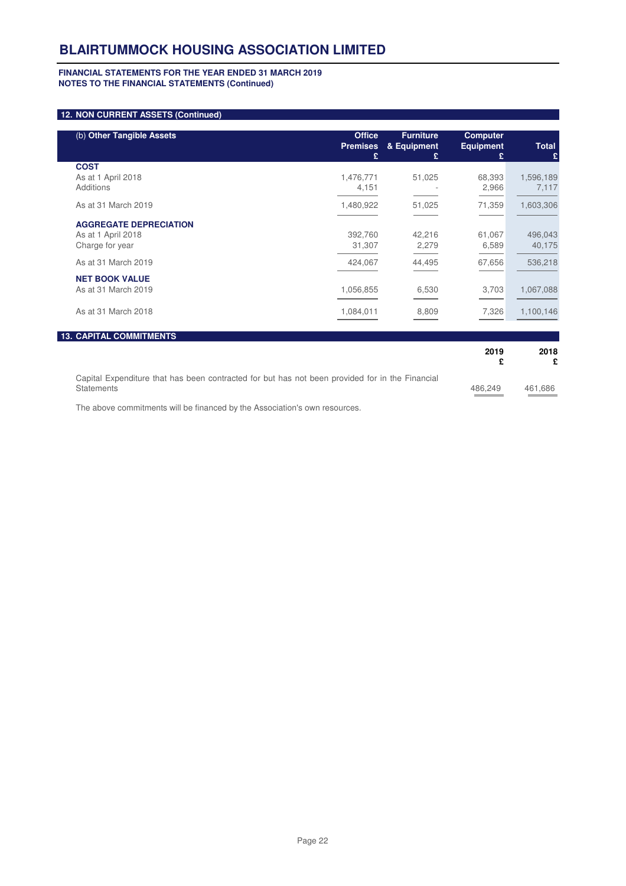#### **FINANCIAL STATEMENTS FOR THE YEAR ENDED 31 MARCH 2019 NOTES TO THE FINANCIAL STATEMENTS (Continued)**

## **12. NON CURRENT ASSETS (Continued)**

| (b) Other Tangible Assets                                                                       | <b>Office</b><br><b>Premises</b><br>£ | <b>Furniture</b><br>& Equipment<br>£ | <b>Computer</b><br><b>Equipment</b><br>£ | <b>Total</b><br>£  |
|-------------------------------------------------------------------------------------------------|---------------------------------------|--------------------------------------|------------------------------------------|--------------------|
| <b>COST</b><br>As at 1 April 2018<br>Additions                                                  | 1,476,771<br>4,151                    | 51,025                               | 68,393<br>2,966                          | 1,596,189<br>7,117 |
| As at 31 March 2019                                                                             | 1,480,922                             | 51,025                               | 71,359                                   | 1,603,306          |
| <b>AGGREGATE DEPRECIATION</b><br>As at 1 April 2018<br>Charge for year                          | 392,760<br>31,307                     | 42,216<br>2,279                      | 61,067<br>6,589                          | 496,043<br>40,175  |
| As at 31 March 2019                                                                             | 424,067                               | 44,495                               | 67,656                                   | 536,218            |
| <b>NET BOOK VALUE</b><br>As at 31 March 2019                                                    | 1,056,855                             | 6,530                                | 3,703                                    | 1,067,088          |
| As at 31 March 2018                                                                             | 1,084,011                             | 8,809                                | 7,326                                    | 1,100,146          |
| <b>13. CAPITAL COMMITMENTS</b>                                                                  |                                       |                                      |                                          |                    |
|                                                                                                 |                                       |                                      | 2019<br>£                                | 2018<br>£          |
| Capital Expenditure that has been contracted for but has not been provided for in the Financial |                                       |                                      |                                          |                    |

486,249 461,686

Statements

The above commitments will be financed by the Association's own resources.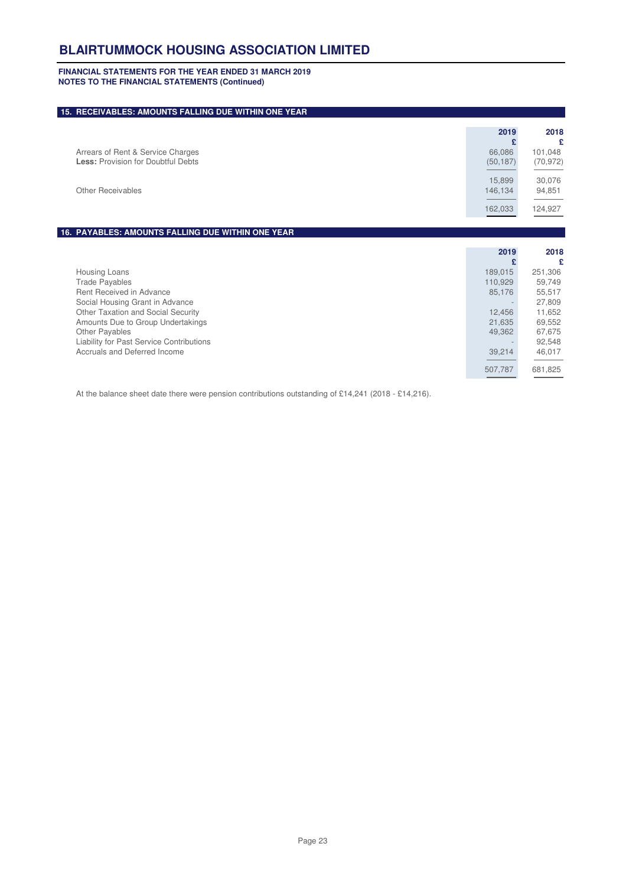#### **FINANCIAL STATEMENTS FOR THE YEAR ENDED 31 MARCH 2019 NOTES TO THE FINANCIAL STATEMENTS (Continued)**

## **15. RECEIVABLES: AMOUNTS FALLING DUE WITHIN ONE YEAR**

| Arrears of Rent & Service Charges<br><b>Less: Provision for Doubtful Debts</b><br><b>Other Receivables</b> | 2019<br>66,086<br>(50, 187)<br>15,899<br>146,134<br>162,033 | 2018<br>£<br>101,048<br>(70, 972)<br>30,076<br>94,851<br>124,927 |
|------------------------------------------------------------------------------------------------------------|-------------------------------------------------------------|------------------------------------------------------------------|
| <b>16. PAYABLES: AMOUNTS FALLING DUE WITHIN ONE YEAR</b>                                                   |                                                             |                                                                  |
|                                                                                                            | 2019                                                        | 2018<br>£                                                        |
| Housing Loans                                                                                              | 189,015                                                     | 251,306                                                          |
| <b>Trade Payables</b>                                                                                      | 110,929                                                     | 59,749                                                           |
| Rent Received in Advance                                                                                   | 85,176                                                      | 55,517                                                           |
| Social Housing Grant in Advance                                                                            |                                                             | 27,809                                                           |
| Other Taxation and Social Security                                                                         | 12,456                                                      | 11,652                                                           |
| Amounts Due to Group Undertakings                                                                          | 21,635                                                      | 69,552                                                           |
| Other Payables                                                                                             | 49,362                                                      | 67,675                                                           |
| Liability for Past Service Contributions<br>Accruals and Deferred Income                                   |                                                             | 92,548                                                           |
|                                                                                                            | 39,214                                                      | 46,017                                                           |
|                                                                                                            | 507,787                                                     | 681,825                                                          |

At the balance sheet date there were pension contributions outstanding of £14,241 (2018 - £14,216).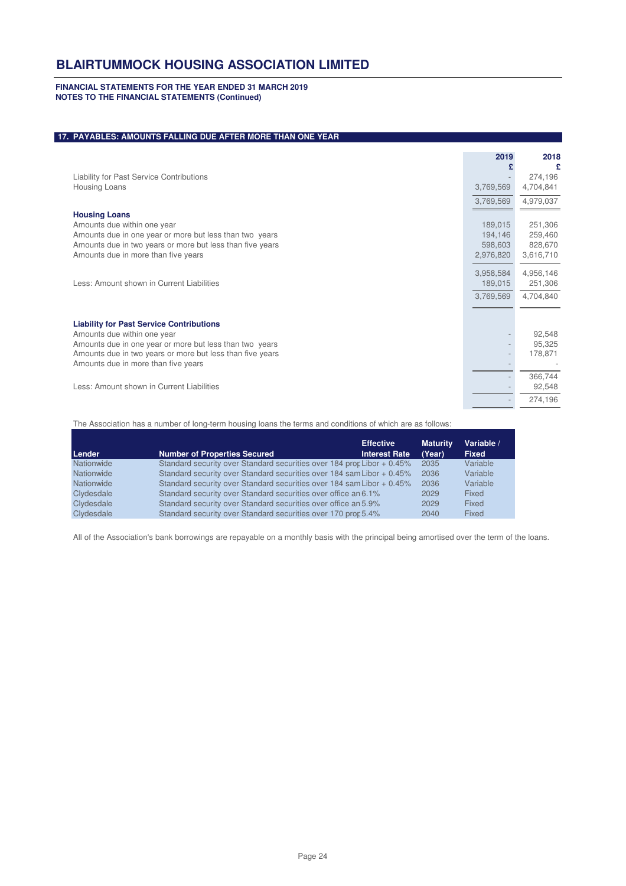#### **FINANCIAL STATEMENTS FOR THE YEAR ENDED 31 MARCH 2019 NOTES TO THE FINANCIAL STATEMENTS (Continued)**

## **17. PAYABLES: AMOUNTS FALLING DUE AFTER MORE THAN ONE YEAR**

|                                                           | 2019      | 2018      |
|-----------------------------------------------------------|-----------|-----------|
| Liability for Past Service Contributions                  |           | 274,196   |
| Housing Loans                                             | 3,769,569 | 4,704,841 |
|                                                           | 3,769,569 | 4,979,037 |
| <b>Housing Loans</b>                                      |           |           |
| Amounts due within one year                               | 189,015   | 251,306   |
| Amounts due in one year or more but less than two years   | 194,146   | 259,460   |
| Amounts due in two years or more but less than five years | 598,603   | 828,670   |
| Amounts due in more than five years                       | 2,976,820 | 3,616,710 |
|                                                           | 3,958,584 | 4,956,146 |
| Less: Amount shown in Current Liabilities                 | 189,015   | 251,306   |
|                                                           | 3,769,569 | 4,704,840 |
|                                                           |           |           |
| <b>Liability for Past Service Contributions</b>           |           |           |
| Amounts due within one year                               |           | 92,548    |
| Amounts due in one year or more but less than two years   |           | 95,325    |
| Amounts due in two years or more but less than five years |           | 178,871   |
| Amounts due in more than five years                       |           |           |
|                                                           |           | 366,744   |
| Less: Amount shown in Current Liabilities                 |           | 92,548    |
|                                                           |           | 274,196   |

The Association has a number of long-term housing loans the terms and conditions of which are as follows:

| Lender     | <b>Number of Properties Secured</b>                                    | <b>Effective</b><br><b>Interest Rate</b> | <b>Maturity</b><br>(Year) | Variable /<br><b>Fixed</b> |
|------------|------------------------------------------------------------------------|------------------------------------------|---------------------------|----------------------------|
| Nationwide | Standard security over Standard securities over 184 prop Libor + 0.45% |                                          | 2035                      | Variable                   |
| Nationwide | Standard security over Standard securities over 184 sam Libor + 0.45%  |                                          | 2036                      | Variable                   |
| Nationwide | Standard security over Standard securities over 184 sam Libor + 0.45%  |                                          | 2036                      | Variable                   |
| Clydesdale | Standard security over Standard securities over office an 6.1%         |                                          | 2029                      | Fixed                      |
| Clydesdale | Standard security over Standard securities over office an 5.9%         |                                          | 2029                      | Fixed                      |
| Clydesdale | Standard security over Standard securities over 170 pror 5.4%          |                                          | 2040                      | Fixed                      |

All of the Association's bank borrowings are repayable on a monthly basis with the principal being amortised over the term of the loans.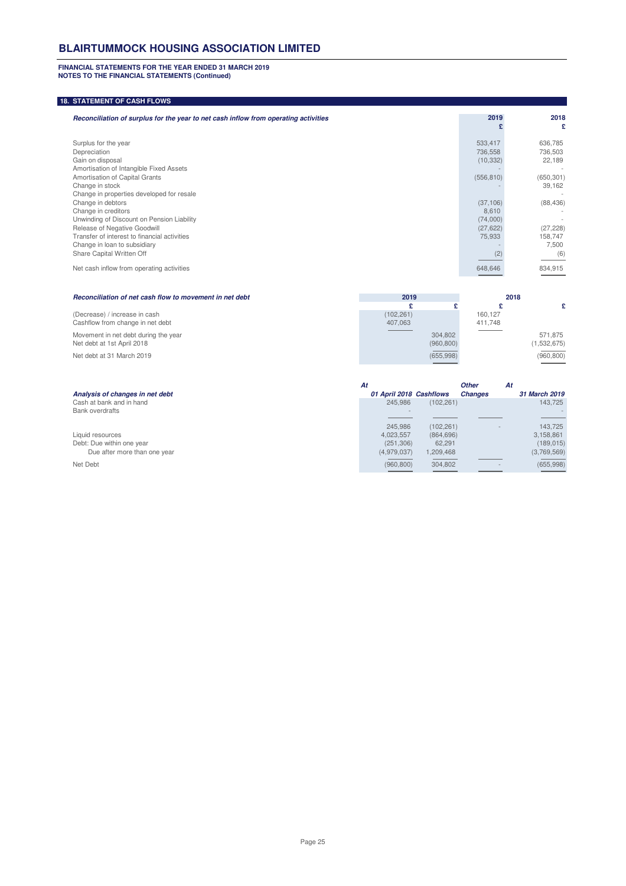#### **FINANCIAL STATEMENTS FOR THE YEAR ENDED 31 MARCH 2019 NOTES TO THE FINANCIAL STATEMENTS (Continued)**

## **18. STATEMENT OF CASH FLOWS**

| Reconciliation of surplus for the year to net cash inflow from operating activities | 2019       | 2018       |
|-------------------------------------------------------------------------------------|------------|------------|
|                                                                                     |            | £          |
| Surplus for the year                                                                | 533,417    | 636,785    |
| Depreciation                                                                        | 736,558    | 736,503    |
| Gain on disposal                                                                    | (10, 332)  | 22,189     |
| Amortisation of Intangible Fixed Assets                                             |            |            |
| Amortisation of Capital Grants                                                      | (556, 810) | (650, 301) |
| Change in stock                                                                     |            | 39,162     |
| Change in properties developed for resale                                           |            |            |
| Change in debtors                                                                   | (37, 106)  | (88, 436)  |
| Change in creditors                                                                 | 8,610      |            |
| Unwinding of Discount on Pension Liability                                          | (74,000)   |            |
| Release of Negative Goodwill                                                        | (27, 622)  | (27, 228)  |
| Transfer of interest to financial activities                                        | 75,933     | 158,747    |
| Change in loan to subsidiary                                                        |            | 7,500      |
| Share Capital Written Off                                                           | (2)        | (6)        |
| Net cash inflow from operating activities                                           | 648.646    | 834,915    |

| Reconciliation of net cash flow to movement in net debt | 2019       |                                                | 2018    |                                                                |
|---------------------------------------------------------|------------|------------------------------------------------|---------|----------------------------------------------------------------|
|                                                         |            |                                                |         |                                                                |
| (Decrease) / increase in cash                           | (102, 261) |                                                | 160.127 |                                                                |
| Cashflow from change in net debt                        | 407.063    |                                                | 411.748 |                                                                |
| Movement in net debt during the year                    |            | 304.802                                        |         | 571.875                                                        |
| Net debt at 1st April 2018                              |            | (960, 800)                                     |         | (1,532,675)                                                    |
| Net debt at 31 March 2019                               |            | (655.998)<br><b>Contract Contract Contract</b> |         | (960, 800)<br>$\sim$ $\sim$ $\sim$ $\sim$ $\sim$ $\sim$ $\sim$ |

| 31 March 2019 |
|---------------|
| 143.725       |
|               |
|               |
| 143,725       |
| 3,158,861     |
| (189, 015)    |
| (3,769,569)   |
| (655,998)     |
|               |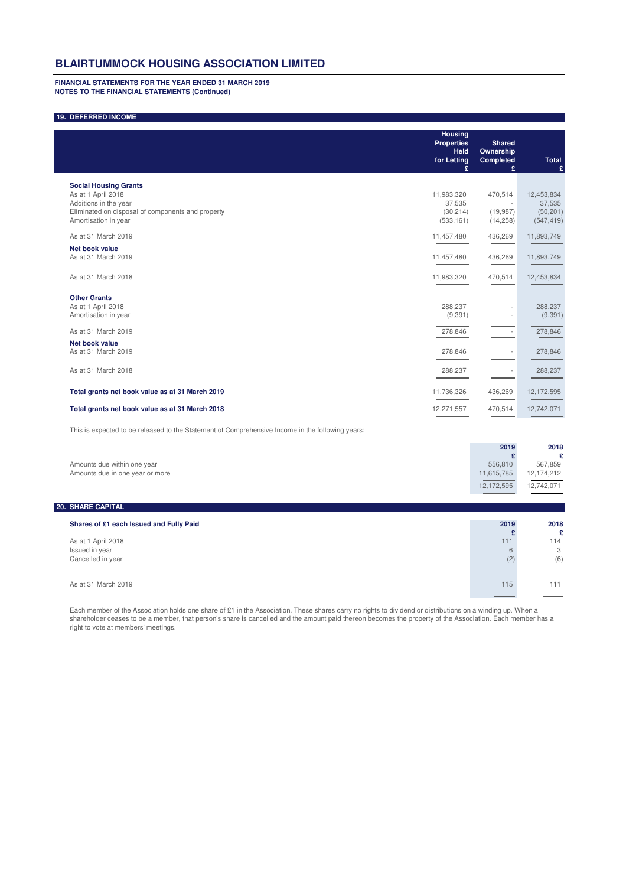#### **FINANCIAL STATEMENTS FOR THE YEAR ENDED 31 MARCH 2019 NOTES TO THE FINANCIAL STATEMENTS (Continued)**

## **19. DEFERRED INCOME**

|                                                                                                                                  | <b>Housing</b><br><b>Properties</b><br><b>Held</b><br>for Letting<br>£ | <b>Shared</b><br>Ownership<br>Completed<br>۶ | <b>Total</b><br>£                      |
|----------------------------------------------------------------------------------------------------------------------------------|------------------------------------------------------------------------|----------------------------------------------|----------------------------------------|
| <b>Social Housing Grants</b><br>As at 1 April 2018<br>Additions in the year<br>Eliminated on disposal of components and property | 11,983,320<br>37,535<br>(30, 214)                                      | 470,514<br>٠<br>(19,987)                     | 12,453,834<br>37,535<br>(50, 201)      |
| Amortisation in year<br>As at 31 March 2019<br><b>Net book value</b><br>As at 31 March 2019                                      | (533, 161)<br>11,457,480                                               | (14, 258)<br>436,269<br>436,269              | (547, 419)<br>11,893,749<br>11,893,749 |
| As at 31 March 2018                                                                                                              | 11,457,480<br>11,983,320                                               | 470,514                                      | 12,453,834                             |
| <b>Other Grants</b><br>As at 1 April 2018<br>Amortisation in year                                                                | 288,237<br>(9, 391)                                                    |                                              | 288,237<br>(9, 391)                    |
| As at 31 March 2019<br><b>Net book value</b><br>As at 31 March 2019                                                              | 278,846<br>278,846                                                     |                                              | 278,846<br>278,846                     |
| As at 31 March 2018<br>Total grants net book value as at 31 March 2019                                                           | 288,237<br>11,736,326                                                  | 436,269                                      | 288,237<br>12,172,595                  |
| Total grants net book value as at 31 March 2018                                                                                  | 12,271,557                                                             | 470,514                                      | 12,742,071                             |

This is expected to be released to the Statement of Comprehensive Income in the following years:

| Amounts due within one year<br>Amounts due in one year or more | 2019<br>556,810<br>11,615,785<br>12,172,595 | 2018<br>£<br>567,859<br>12,174,212<br>12,742,071 |
|----------------------------------------------------------------|---------------------------------------------|--------------------------------------------------|
| <b>20. SHARE CAPITAL</b>                                       |                                             |                                                  |
| Shares of £1 each Issued and Fully Paid                        | 2019                                        | 2018                                             |
| As at 1 April 2018                                             | 111                                         | £<br>114                                         |
| Issued in year                                                 | 6                                           | 3                                                |
| Cancelled in year                                              | (2)                                         | (6)                                              |
|                                                                |                                             |                                                  |
| As at 31 March 2019                                            | 115                                         | 111                                              |

Each member of the Association holds one share of £1 in the Association. These shares carry no rights to dividend or distributions on a winding up. When a shareholder ceases to be a member, that person's share is cancelled and the amount paid thereon becomes the property of the Association. Each member has a right to vote at members' meetings.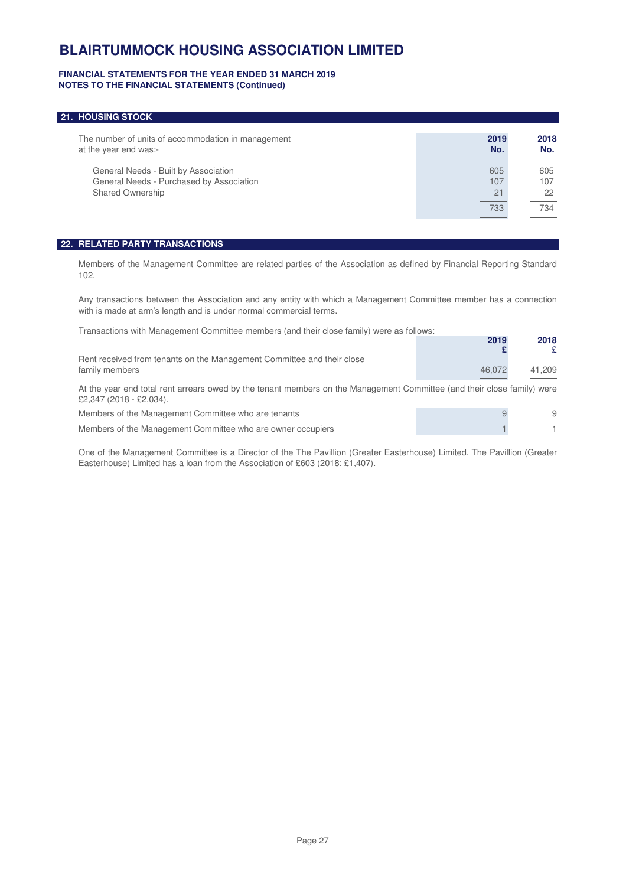#### **FINANCIAL STATEMENTS FOR THE YEAR ENDED 31 MARCH 2019 NOTES TO THE FINANCIAL STATEMENTS (Continued)**

#### **21. HOUSING STOCK**

| The number of units of accommodation in management | 2019 | 2018 |
|----------------------------------------------------|------|------|
| at the year end was:-                              | No.  | No.  |
| General Needs - Built by Association               | 605  | 605  |
| General Needs - Purchased by Association           | 107  | 107  |
| <b>Shared Ownership</b>                            | 21   | 22   |
|                                                    | 733  | 734  |

#### **22. RELATED PARTY TRANSACTIONS**

Members of the Management Committee are related parties of the Association as defined by Financial Reporting Standard 102.

Any transactions between the Association and any entity with which a Management Committee member has a connection with is made at arm's length and is under normal commercial terms.

| Transactions with Management Committee members (and their close family) were as follows:                                                           |        |        |
|----------------------------------------------------------------------------------------------------------------------------------------------------|--------|--------|
|                                                                                                                                                    | 2019   | 2018   |
|                                                                                                                                                    |        | £      |
| Rent received from tenants on the Management Committee and their close                                                                             |        |        |
| family members                                                                                                                                     | 46,072 | 41,209 |
|                                                                                                                                                    |        |        |
| At the year end total rent arrears owed by the tenant members on the Management Committee (and their close family) were<br>£2,347 (2018 - £2,034). |        |        |
| Members of the Management Committee who are tenants                                                                                                | 9      | 9      |
| Members of the Management Committee who are owner occupiers                                                                                        |        | 1.     |

One of the Management Committee is a Director of the The Pavillion (Greater Easterhouse) Limited. The Pavillion (Greater Easterhouse) Limited has a loan from the Association of £603 (2018: £1,407).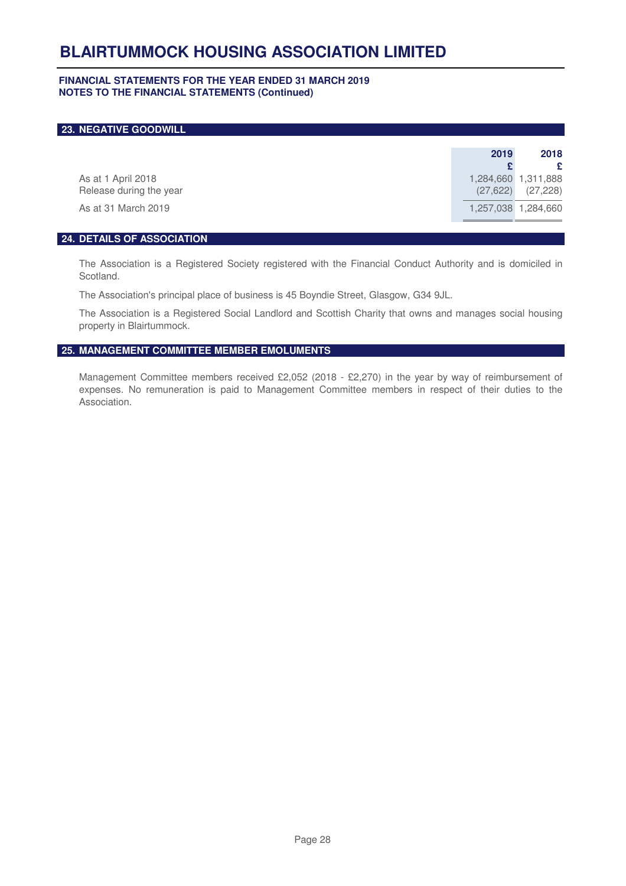## **FINANCIAL STATEMENTS FOR THE YEAR ENDED 31 MARCH 2019 NOTES TO THE FINANCIAL STATEMENTS (Continued)**

## **23. NEGATIVE GOODWILL**

|                         | 2019      | 2018                |
|-------------------------|-----------|---------------------|
|                         |           | £                   |
| As at 1 April 2018      |           | 1,284,660 1,311,888 |
| Release during the year | (27, 622) | (27, 228)           |
| As at 31 March 2019     |           | 1,257,038 1,284,660 |

### **24. DETAILS OF ASSOCIATION**

The Association is a Registered Society registered with the Financial Conduct Authority and is domiciled in Scotland.

The Association's principal place of business is 45 Boyndie Street, Glasgow, G34 9JL.

The Association is a Registered Social Landlord and Scottish Charity that owns and manages social housing property in Blairtummock.

## **25. MANAGEMENT COMMITTEE MEMBER EMOLUMENTS**

Management Committee members received £2,052 (2018 - £2,270) in the year by way of reimbursement of expenses. No remuneration is paid to Management Committee members in respect of their duties to the Association.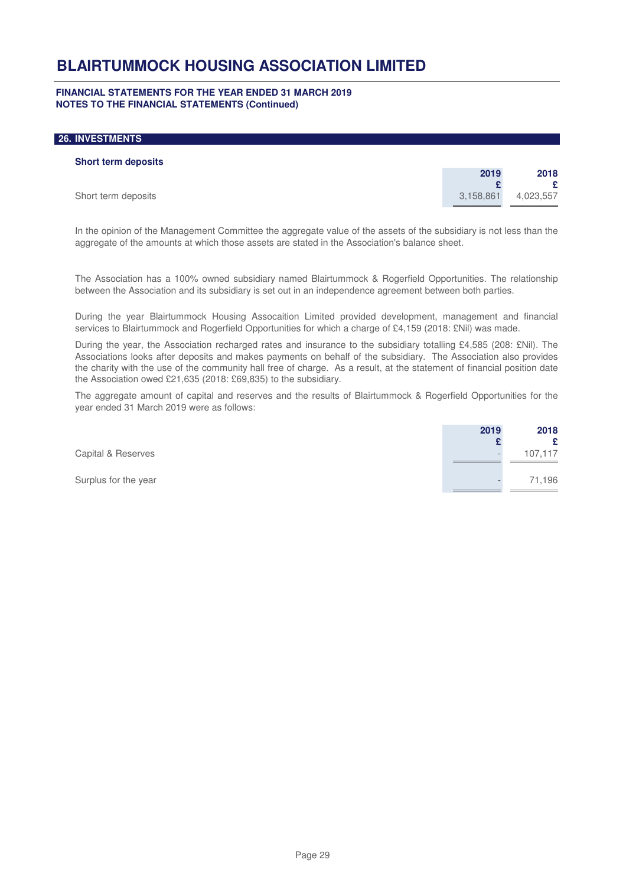### **FINANCIAL STATEMENTS FOR THE YEAR ENDED 31 MARCH 2019 NOTES TO THE FINANCIAL STATEMENTS (Continued)**

#### **26. INVESTMENTS**

| <b>Short term deposits</b> |           |           |
|----------------------------|-----------|-----------|
|                            | 2019      | 2018      |
|                            |           |           |
| Short term deposits        | 3,158,861 | 4,023,557 |

In the opinion of the Management Committee the aggregate value of the assets of the subsidiary is not less than the aggregate of the amounts at which those assets are stated in the Association's balance sheet.

The Association has a 100% owned subsidiary named Blairtummock & Rogerfield Opportunities. The relationship between the Association and its subsidiary is set out in an independence agreement between both parties.

During the year Blairtummock Housing Assocaition Limited provided development, management and financial services to Blairtummock and Rogerfield Opportunities for which a charge of £4,159 (2018: £Nil) was made.

During the year, the Association recharged rates and insurance to the subsidiary totalling £4,585 (208: £Nil). The Associations looks after deposits and makes payments on behalf of the subsidiary. The Association also provides the charity with the use of the community hall free of charge. As a result, at the statement of financial position date the Association owed £21,635 (2018: £69,835) to the subsidiary.

The aggregate amount of capital and reserves and the results of Blairtummock & Rogerfield Opportunities for the year ended 31 March 2019 were as follows:

|                      | 2019 | 2018    |
|----------------------|------|---------|
|                      |      | £       |
| Capital & Reserves   |      | 107,117 |
|                      |      |         |
| Surplus for the year |      | 71,196  |
|                      |      |         |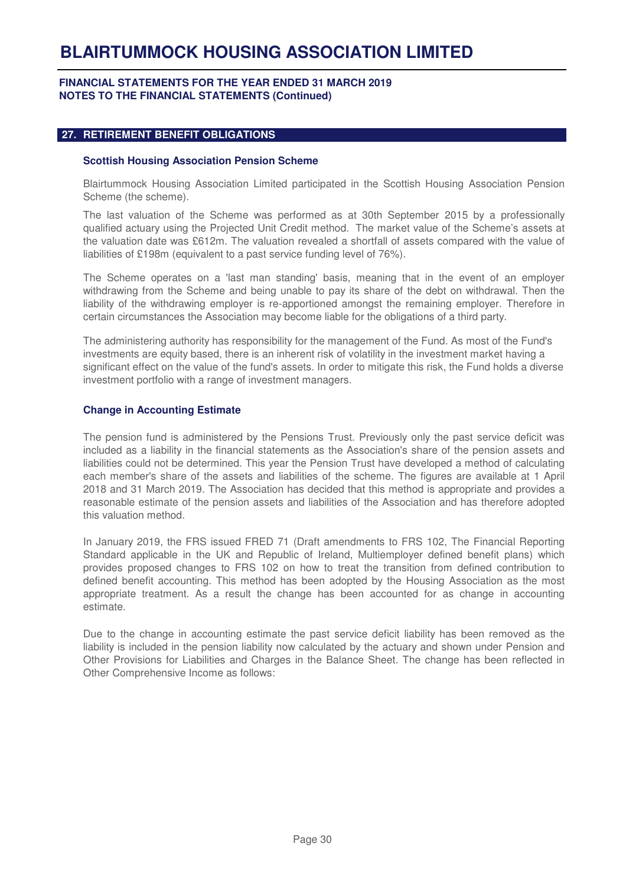## **FINANCIAL STATEMENTS FOR THE YEAR ENDED 31 MARCH 2019 NOTES TO THE FINANCIAL STATEMENTS (Continued)**

## **27. RETIREMENT BENEFIT OBLIGATIONS**

## **Scottish Housing Association Pension Scheme**

Blairtummock Housing Association Limited participated in the Scottish Housing Association Pension Scheme (the scheme).

The last valuation of the Scheme was performed as at 30th September 2015 by a professionally qualified actuary using the Projected Unit Credit method. The market value of the Scheme's assets at the valuation date was £612m. The valuation revealed a shortfall of assets compared with the value of liabilities of £198m (equivalent to a past service funding level of 76%).

The Scheme operates on a 'last man standing' basis, meaning that in the event of an employer withdrawing from the Scheme and being unable to pay its share of the debt on withdrawal. Then the liability of the withdrawing employer is re-apportioned amongst the remaining employer. Therefore in certain circumstances the Association may become liable for the obligations of a third party.

The administering authority has responsibility for the management of the Fund. As most of the Fund's investments are equity based, there is an inherent risk of volatility in the investment market having a significant effect on the value of the fund's assets. In order to mitigate this risk, the Fund holds a diverse investment portfolio with a range of investment managers.

## **Change in Accounting Estimate**

The pension fund is administered by the Pensions Trust. Previously only the past service deficit was included as a liability in the financial statements as the Association's share of the pension assets and liabilities could not be determined. This year the Pension Trust have developed a method of calculating each member's share of the assets and liabilities of the scheme. The figures are available at 1 April 2018 and 31 March 2019. The Association has decided that this method is appropriate and provides a reasonable estimate of the pension assets and liabilities of the Association and has therefore adopted this valuation method.

In January 2019, the FRS issued FRED 71 (Draft amendments to FRS 102, The Financial Reporting Standard applicable in the UK and Republic of Ireland, Multiemployer defined benefit plans) which provides proposed changes to FRS 102 on how to treat the transition from defined contribution to defined benefit accounting. This method has been adopted by the Housing Association as the most appropriate treatment. As a result the change has been accounted for as change in accounting estimate.

Due to the change in accounting estimate the past service deficit liability has been removed as the liability is included in the pension liability now calculated by the actuary and shown under Pension and Other Provisions for Liabilities and Charges in the Balance Sheet. The change has been reflected in Other Comprehensive Income as follows: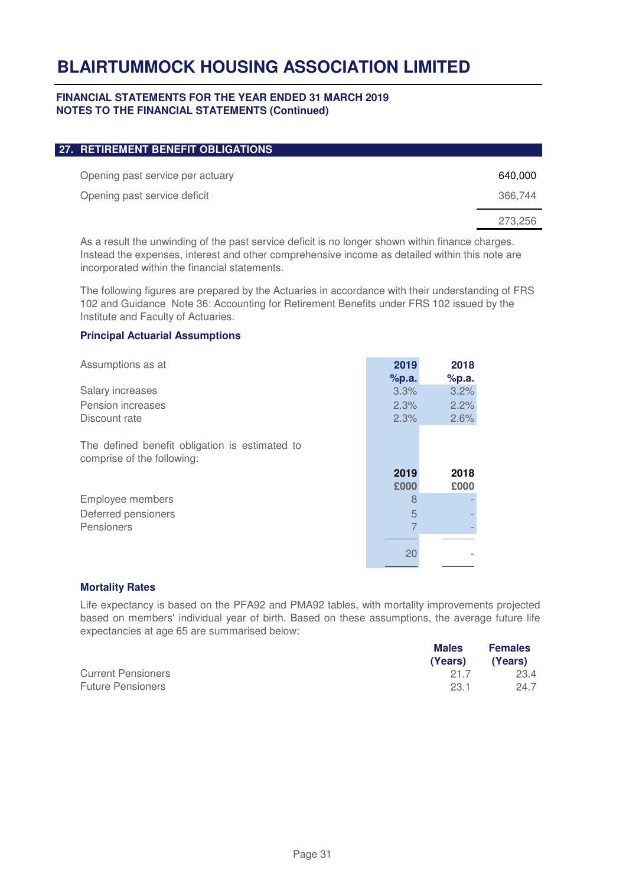## **FINANCIAL STATEMENTS FOR THE YEAR ENDED 31 MARCH 2019 NOTES TO THE FINANCIAL STATEMENTS (Continued)**

| 27. RETIREMENT BENEFIT OBLIGATIONS |         |
|------------------------------------|---------|
| Opening past service per actuary   | 640,000 |
| Opening past service deficit       | 366,744 |
|                                    | 273,256 |

As a result the unwinding of the past service deficit is no longer shown within finance charges. Instead the expenses, interest and other comprehensive income as detailed within this note are incorporated within the financial statements.

The following figures are prepared by the Actuaries in accordance with their understanding of FRS 102 and Guidance Note 36: Accounting for Retirement Benefits under FRS 102 issued by the Institute and Faculty of Actuaries.

## **Principal Actuarial Assumptions**

| Assumptions as at                              | 2019         | 2018         |
|------------------------------------------------|--------------|--------------|
|                                                | %p.a.        | %p.a.        |
| Salary increases                               | 3.3%         | 3.2%         |
| Pension increases                              | 2.3%         | 2.2%         |
| Discount rate                                  | 2.3%         | 2.6%         |
| The defined benefit obligation is estimated to |              |              |
| comprise of the following:                     |              |              |
|                                                | 2019<br>£000 | 2018<br>£000 |
| Employee members                               | 8            |              |
| Deferred pensioners                            | 5            |              |
| Pensioners                                     |              |              |
|                                                |              |              |
|                                                | 20           |              |
|                                                |              |              |

## **Mortality Rates**

Life expectancy is based on the PFA92 and PMA92 tables, with mortality improvements projected based on members' individual year of birth. Based on these assumptions, the average future life expectancies at age 65 are summarised below:

**Males Females**

|                           | (Years) (Years) |       |
|---------------------------|-----------------|-------|
| <b>Current Pensioners</b> | 21.7            | -23.4 |
| <b>Future Pensioners</b>  | -23.1           | 24.7  |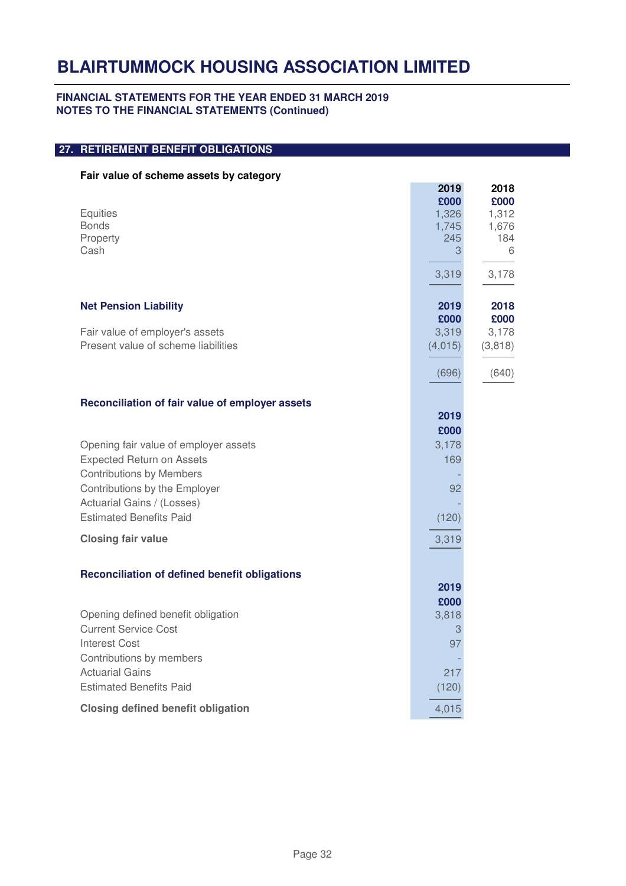## **FINANCIAL STATEMENTS FOR THE YEAR ENDED 31 MARCH 2019 NOTES TO THE FINANCIAL STATEMENTS (Continued)**

 **27. RETIREMENT BENEFIT OBLIGATIONS**

| Fair value of scheme assets by category                      |              |                     |
|--------------------------------------------------------------|--------------|---------------------|
|                                                              | 2019<br>£000 | 2018<br><b>£000</b> |
| Equities<br><b>Bonds</b>                                     | 1,326        | 1,312               |
| Property                                                     | 1,745<br>245 | 1,676<br>184        |
| Cash                                                         | 3            | 6                   |
|                                                              | 3,319        | 3,178               |
|                                                              |              |                     |
| <b>Net Pension Liability</b>                                 | 2019<br>£000 | 2018<br><b>£000</b> |
| Fair value of employer's assets                              | 3,319        | 3,178               |
| Present value of scheme liabilities                          | (4,015)      | (3,818)             |
|                                                              | (696)        | (640)               |
| Reconciliation of fair value of employer assets              |              |                     |
|                                                              | 2019         |                     |
|                                                              | £000         |                     |
| Opening fair value of employer assets                        | 3,178        |                     |
| <b>Expected Return on Assets</b>                             | 169          |                     |
| <b>Contributions by Members</b>                              |              |                     |
| Contributions by the Employer                                | 92           |                     |
| Actuarial Gains / (Losses)<br><b>Estimated Benefits Paid</b> |              |                     |
|                                                              | (120)        |                     |
| <b>Closing fair value</b>                                    | 3,319        |                     |
| <b>Reconciliation of defined benefit obligations</b>         |              |                     |
|                                                              | 2019         |                     |
|                                                              | £000         |                     |
| Opening defined benefit obligation                           | 3,818        |                     |
| <b>Current Service Cost</b>                                  | 3            |                     |
| <b>Interest Cost</b>                                         | 97           |                     |
| Contributions by members                                     |              |                     |
| <b>Actuarial Gains</b>                                       | 217          |                     |
| <b>Estimated Benefits Paid</b>                               | (120)        |                     |
| <b>Closing defined benefit obligation</b>                    | 4,015        |                     |